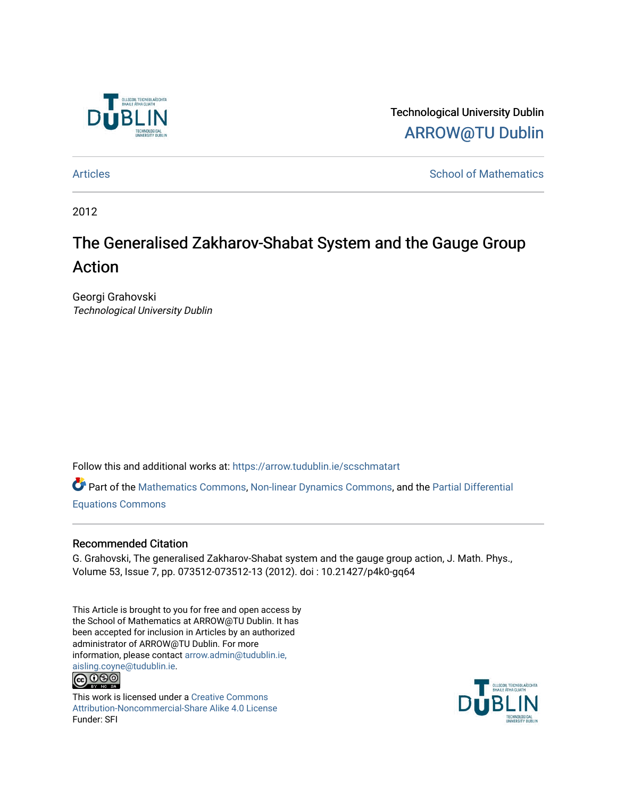

Technological University Dublin [ARROW@TU Dublin](https://arrow.tudublin.ie/) 

[Articles](https://arrow.tudublin.ie/scschmatart) **School of Mathematics** [School of Mathematics](https://arrow.tudublin.ie/scschmat) **School of Mathematics** 

2012

# The Generalised Zakharov-Shabat System and the Gauge Group Action

Georgi Grahovski Technological University Dublin

Follow this and additional works at: [https://arrow.tudublin.ie/scschmatart](https://arrow.tudublin.ie/scschmatart?utm_source=arrow.tudublin.ie%2Fscschmatart%2F130&utm_medium=PDF&utm_campaign=PDFCoverPages)

Part of the [Mathematics Commons](http://network.bepress.com/hgg/discipline/174?utm_source=arrow.tudublin.ie%2Fscschmatart%2F130&utm_medium=PDF&utm_campaign=PDFCoverPages), [Non-linear Dynamics Commons](http://network.bepress.com/hgg/discipline/118?utm_source=arrow.tudublin.ie%2Fscschmatart%2F130&utm_medium=PDF&utm_campaign=PDFCoverPages), and the [Partial Differential](http://network.bepress.com/hgg/discipline/120?utm_source=arrow.tudublin.ie%2Fscschmatart%2F130&utm_medium=PDF&utm_campaign=PDFCoverPages) [Equations Commons](http://network.bepress.com/hgg/discipline/120?utm_source=arrow.tudublin.ie%2Fscschmatart%2F130&utm_medium=PDF&utm_campaign=PDFCoverPages) 

#### Recommended Citation

G. Grahovski, The generalised Zakharov-Shabat system and the gauge group action, J. Math. Phys., Volume 53, Issue 7, pp. 073512-073512-13 (2012). doi : 10.21427/p4k0-gq64

This Article is brought to you for free and open access by the School of Mathematics at ARROW@TU Dublin. It has been accepted for inclusion in Articles by an authorized administrator of ARROW@TU Dublin. For more information, please contact [arrow.admin@tudublin.ie,](mailto:arrow.admin@tudublin.ie,%20aisling.coyne@tudublin.ie)  [aisling.coyne@tudublin.ie.](mailto:arrow.admin@tudublin.ie,%20aisling.coyne@tudublin.ie)



This work is licensed under a [Creative Commons](http://creativecommons.org/licenses/by-nc-sa/4.0/) [Attribution-Noncommercial-Share Alike 4.0 License](http://creativecommons.org/licenses/by-nc-sa/4.0/) Funder: SFI

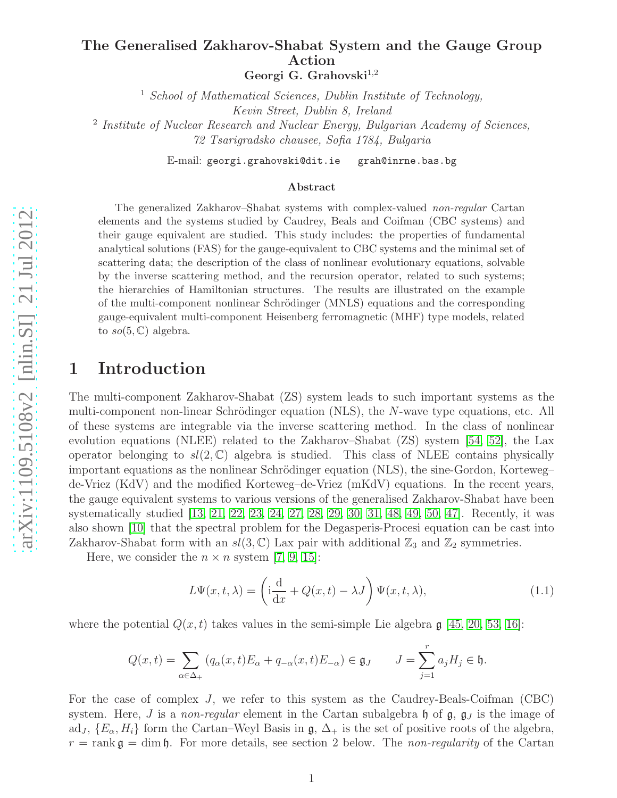#### The Generalised Zakharov-Shabat System and the Gauge Group Action Georgi G. Grahovski<sup>1,2</sup>

 $<sup>1</sup>$  School of Mathematical Sciences, Dublin Institute of Technology,</sup> Kevin Street, Dublin 8, Ireland <sup>2</sup> Institute of Nuclear Research and Nuclear Energy, Bulgarian Academy of Sciences, 72 Tsarigradsko chausee, Sofia 1784, Bulgaria

E-mail: georgi.grahovski@dit.ie grah@inrne.bas.bg

#### Abstract

The generalized Zakharov–Shabat systems with complex-valued non-regular Cartan elements and the systems studied by Caudrey, Beals and Coifman (CBC systems) and their gauge equivalent are studied. This study includes: the properties of fundamental analytical solutions (FAS) for the gauge-equivalent to CBC systems and the minimal set of scattering data; the description of the class of nonlinear evolutionary equations, solvable by the inverse scattering method, and the recursion operator, related to such systems; the hierarchies of Hamiltonian structures. The results are illustrated on the example of the multi-component nonlinear Schrödinger (MNLS) equations and the corresponding gauge-equivalent multi-component Heisenberg ferromagnetic (MHF) type models, related to  $so(5, \mathbb{C})$  algebra.

### 1 Introduction

The multi-component Zakharov-Shabat (ZS) system leads to such important systems as the multi-component non-linear Schrödinger equation (NLS), the N-wave type equations, etc. All of these systems are integrable via the inverse scattering method. In the class of nonlinear evolution equations (NLEE) related to the Zakharov–Shabat (ZS) system [\[54,](#page-17-0) [52\]](#page-16-0), the Lax operator belonging to  $sl(2,\mathbb{C})$  algebra is studied. This class of NLEE contains physically important equations as the nonlinear Schrödinger equation (NLS), the sine-Gordon, Korteweg– de-Vriez (KdV) and the modified Korteweg–de-Vriez (mKdV) equations. In the recent years, the gauge equivalent systems to various versions of the generalised Zakharov-Shabat have been systematically studied [\[13,](#page-14-0) [21,](#page-14-1) [22,](#page-15-0) [23,](#page-15-1) [24,](#page-15-2) [27,](#page-15-3) [28,](#page-15-4) [29,](#page-15-5) [30,](#page-15-6) [31,](#page-15-7) [48,](#page-16-1) [49,](#page-16-2) [50,](#page-16-3) [47\]](#page-16-4). Recently, it was also shown [\[10\]](#page-14-2) that the spectral problem for the Degasperis-Procesi equation can be cast into Zakharov-Shabat form with an  $sl(3,\mathbb{C})$  Lax pair with additional  $\mathbb{Z}_3$  and  $\mathbb{Z}_2$  symmetries.

Here, we consider the  $n \times n$  system [\[7,](#page-14-3) [9,](#page-14-4) [15\]](#page-14-5):

<span id="page-1-0"></span>
$$
L\Psi(x,t,\lambda) = \left(\mathbf{i}\frac{\mathrm{d}}{\mathrm{d}x} + Q(x,t) - \lambda J\right)\Psi(x,t,\lambda),\tag{1.1}
$$

where the potential  $Q(x,t)$  takes values in the semi-simple Lie algebra  $\mathfrak{g}$  [\[45,](#page-16-5) [20,](#page-14-6) [53,](#page-17-1) [16\]](#page-14-7):

$$
Q(x,t) = \sum_{\alpha \in \Delta_+} (q_\alpha(x,t)E_\alpha + q_{-\alpha}(x,t)E_{-\alpha}) \in \mathfrak{g}_J \qquad J = \sum_{j=1}^r a_j H_j \in \mathfrak{h}.
$$

For the case of complex J, we refer to this system as the Caudrey-Beals-Coifman (CBC) system. Here, *J* is a *non-regular* element in the Cartan subalgebra  $\mathfrak h$  of  $\mathfrak g$ ,  $\mathfrak g$ <sub>*J*</sub> is the image of ad<sub>J</sub>,  $\{E_\alpha, H_i\}$  form the Cartan–Weyl Basis in  $\mathfrak{g}, \Delta_+$  is the set of positive roots of the algebra,  $r = \text{rank } \mathfrak{g} = \dim \mathfrak{h}$ . For more details, see section 2 below. The non-regularity of the Cartan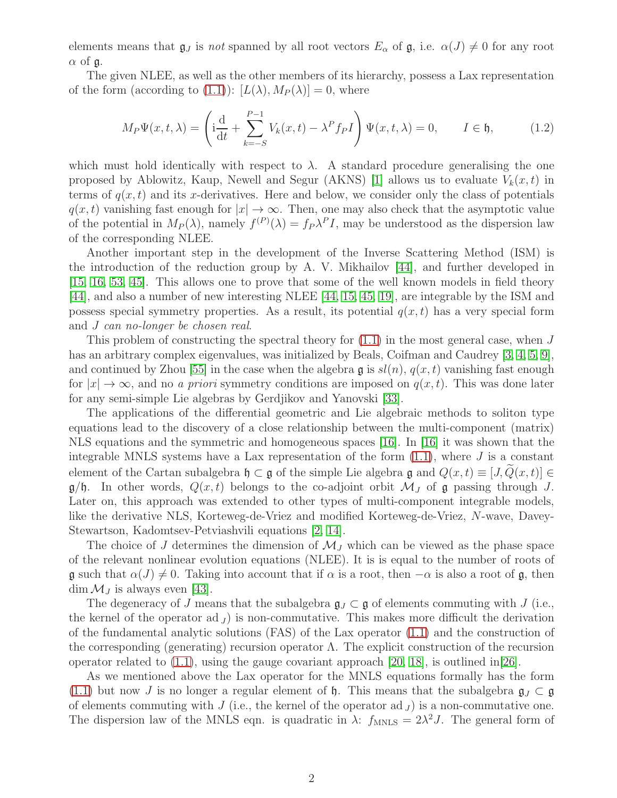elements means that  $\mathfrak{g}_J$  is not spanned by all root vectors  $E_\alpha$  of  $\mathfrak{g}$ , i.e.  $\alpha(J) \neq 0$  for any root  $\alpha$  of  $\mathfrak{g}$ .

The given NLEE, as well as the other members of its hierarchy, possess a Lax representation of the form (according to [\(1.1\)](#page-1-0)):  $[L(\lambda), M_P(\lambda)] = 0$ , where

<span id="page-2-0"></span>
$$
M_P \Psi(x, t, \lambda) = \left(\mathbf{i}\frac{\mathrm{d}}{\mathrm{d}t} + \sum_{k=-S}^{P-1} V_k(x, t) - \lambda^P f_P I\right) \Psi(x, t, \lambda) = 0, \qquad I \in \mathfrak{h},\tag{1.2}
$$

which must hold identically with respect to  $\lambda$ . A standard procedure generalising the one proposed by Ablowitz, Kaup, Newell and Segur (AKNS) [\[1\]](#page-13-0) allows us to evaluate  $V_k(x, t)$  in terms of  $q(x, t)$  and its x-derivatives. Here and below, we consider only the class of potentials  $q(x, t)$  vanishing fast enough for  $|x| \to \infty$ . Then, one may also check that the asymptotic value of the potential in  $M_P(\lambda)$ , namely  $f^{(P)}(\lambda) = f_P \lambda^P I$ , may be understood as the dispersion law of the corresponding NLEE.

Another important step in the development of the Inverse Scattering Method (ISM) is the introduction of the reduction group by A. V. Mikhailov [\[44\]](#page-16-6), and further developed in [\[15,](#page-14-5) [16,](#page-14-7) [53,](#page-17-1) [45\]](#page-16-5). This allows one to prove that some of the well known models in field theory [\[44\]](#page-16-6), and also a number of new interesting NLEE [\[44,](#page-16-6) [15,](#page-14-5) [45,](#page-16-5) [19\]](#page-14-8), are integrable by the ISM and possess special symmetry properties. As a result, its potential  $q(x, t)$  has a very special form and J can no-longer be chosen real.

This problem of constructing the spectral theory for  $(1.1)$  in the most general case, when J has an arbitrary complex eigenvalues, was initialized by Beals, Coifman and Caudrey [\[3,](#page-13-1) [4,](#page-13-2) [5,](#page-13-3) [9\]](#page-14-4), and continued by Zhou [\[55\]](#page-17-2) in the case when the algebra  $\mathfrak{g}$  is  $sl(n)$ ,  $q(x,t)$  vanishing fast enough for  $|x| \to \infty$ , and no *a priori* symmetry conditions are imposed on  $q(x, t)$ . This was done later for any semi-simple Lie algebras by Gerdjikov and Yanovski [\[33\]](#page-15-8).

The applications of the differential geometric and Lie algebraic methods to soliton type equations lead to the discovery of a close relationship between the multi-component (matrix) NLS equations and the symmetric and homogeneous spaces [\[16\]](#page-14-7). In [\[16\]](#page-14-7) it was shown that the integrable MNLS systems have a Lax representation of the form  $(1.1)$ , where J is a constant element of the Cartan subalgebra  $\mathfrak{h} \subset \mathfrak{g}$  of the simple Lie algebra  $\mathfrak{g}$  and  $Q(x, t) \equiv [J, \tilde{Q}(x, t)] \in$  $g/\mathfrak{h}$ . In other words,  $Q(x,t)$  belongs to the co-adjoint orbit  $\mathcal{M}_J$  of g passing through J. Later on, this approach was extended to other types of multi-component integrable models, like the derivative NLS, Korteweg-de-Vriez and modified Korteweg-de-Vriez, N-wave, Davey-Stewartson, Kadomtsev-Petviashvili equations [\[2,](#page-13-4) [14\]](#page-14-9).

The choice of J determines the dimension of  $\mathcal{M}_I$  which can be viewed as the phase space of the relevant nonlinear evolution equations (NLEE). It is is equal to the number of roots of  $\mathfrak g$  such that  $\alpha(J) \neq 0$ . Taking into account that if  $\alpha$  is a root, then  $-\alpha$  is also a root of  $\mathfrak g$ , then  $\dim \mathcal{M}_J$  is always even [\[43\]](#page-16-7).

The degeneracy of J means that the subalgebra  $\mathfrak{g}_J \subset \mathfrak{g}$  of elements commuting with J (i.e., the kernel of the operator ad  $J$  is non-commutative. This makes more difficult the derivation of the fundamental analytic solutions (FAS) of the Lax operator [\(1.1\)](#page-1-0) and the construction of the corresponding (generating) recursion operator  $\Lambda$ . The explicit construction of the recursion operator related to  $(1.1)$ , using the gauge covariant approach  $[20, 18]$  $[20, 18]$ , is outlined in  $[26]$ .

As we mentioned above the Lax operator for the MNLS equations formally has the form [\(1.1\)](#page-1-0) but now J is no longer a regular element of h. This means that the subalgebra  $\mathfrak{g}_J \subset \mathfrak{g}$ of elements commuting with  $J$  (i.e., the kernel of the operator ad  $J$ ) is a non-commutative one. The dispersion law of the MNLS eqn. is quadratic in  $\lambda$ :  $f_{MNLS} = 2\lambda^2 J$ . The general form of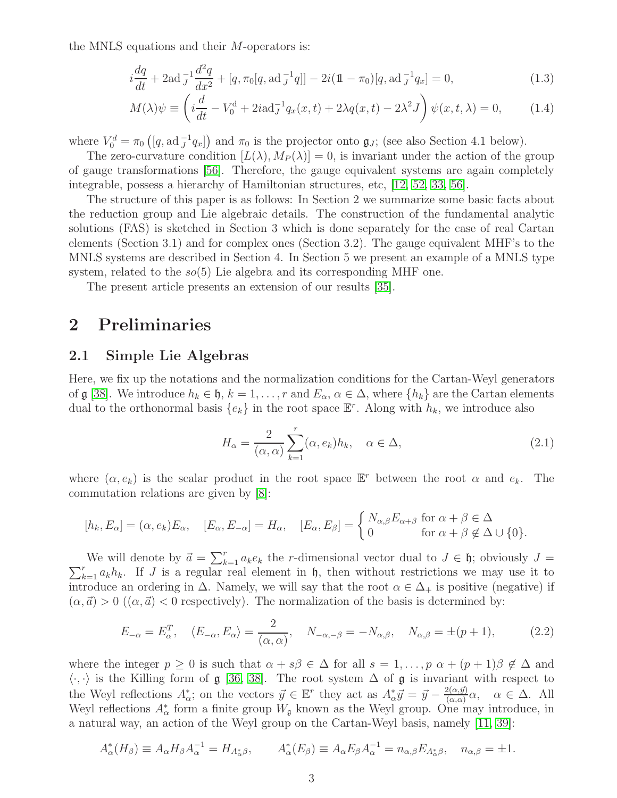the MNLS equations and their M-operators is:

$$
i\frac{dq}{dt} + 2\mathrm{ad} \, J\frac{d^2q}{dx^2} + [q, \pi_0[q, \mathrm{ad} \, J\, q]] - 2i(\mathbb{1} - \pi_0)[q, \mathrm{ad} \, J\, q_x] = 0,\tag{1.3}
$$

$$
M(\lambda)\psi \equiv \left(i\frac{d}{dt} - V_0^{\mathrm{d}} + 2i\mathrm{ad}_J^{-1}q_x(x,t) + 2\lambda q(x,t) - 2\lambda^2 J\right)\psi(x,t,\lambda) = 0,\tag{1.4}
$$

where  $V_0^d = \pi_0 \left( [q, \text{ad}^{-1}_J q_x] \right)$  and  $\pi_0$  is the projector onto  $\mathfrak{g}_J$ ; (see also Section 4.1 below).

The zero-curvature condition  $[L(\lambda), M_P(\lambda)] = 0$ , is invariant under the action of the group of gauge transformations [\[56\]](#page-17-3). Therefore, the gauge equivalent systems are again completely integrable, possess a hierarchy of Hamiltonian structures, etc, [\[12,](#page-14-11) [52,](#page-16-0) [33,](#page-15-8) [56\]](#page-17-3).

The structure of this paper is as follows: In Section 2 we summarize some basic facts about the reduction group and Lie algebraic details. The construction of the fundamental analytic solutions (FAS) is sketched in Section 3 which is done separately for the case of real Cartan elements (Section 3.1) and for complex ones (Section 3.2). The gauge equivalent MHF's to the MNLS systems are described in Section 4. In Section 5 we present an example of a MNLS type system, related to the  $so(5)$  Lie algebra and its corresponding MHF one.

The present article presents an extension of our results [\[35\]](#page-16-8).

### 2 Preliminaries

#### 2.1 Simple Lie Algebras

Here, we fix up the notations and the normalization conditions for the Cartan-Weyl generators of g [\[38\]](#page-16-9). We introduce  $h_k \in \mathfrak{h}$ ,  $k = 1, \ldots, r$  and  $E_\alpha$ ,  $\alpha \in \Delta$ , where  $\{h_k\}$  are the Cartan elements dual to the orthonormal basis  $\{e_k\}$  in the root space  $\mathbb{E}^r$ . Along with  $h_k$ , we introduce also

$$
H_{\alpha} = \frac{2}{(\alpha, \alpha)} \sum_{k=1}^{r} (\alpha, e_k) h_k, \quad \alpha \in \Delta,
$$
\n(2.1)

where  $(\alpha, e_k)$  is the scalar product in the root space  $\mathbb{E}^r$  between the root  $\alpha$  and  $e_k$ . The commutation relations are given by [\[8\]](#page-14-12):

$$
[h_k, E_{\alpha}] = (\alpha, e_k) E_{\alpha}, \quad [E_{\alpha}, E_{-\alpha}] = H_{\alpha}, \quad [E_{\alpha}, E_{\beta}] = \begin{cases} N_{\alpha, \beta} E_{\alpha + \beta} & \text{for } \alpha + \beta \in \Delta \\ 0 & \text{for } \alpha + \beta \notin \Delta \cup \{0\}. \end{cases}
$$

We will denote by  $\vec{a} = \sum_{k=1}^{r}$ <br> $\sum_{k=1}^{r} a_k h_k$ . If J is a regular real We will denote by  $\vec{a} = \sum_{k=1}^{r} a_k e_k$  the *r*-dimensional vector dual to  $J \in \mathfrak{h}$ ; obviously  $J = \sum_{k=1}^{r} a_k h_k$ . If  $J$  is a regular real element in  $\mathfrak{h}$ , then without restrictions we may use it to introduce an ordering in  $\Delta$ . Namely, we will say that the root  $\alpha \in \Delta_+$  is positive (negative) if  $(\alpha,\vec{a}) > 0$   $((\alpha,\vec{a}) < 0$  respectively). The normalization of the basis is determined by:

$$
E_{-\alpha} = E_{\alpha}^T, \quad \langle E_{-\alpha}, E_{\alpha} \rangle = \frac{2}{(\alpha, \alpha)}, \quad N_{-\alpha, -\beta} = -N_{\alpha, \beta}, \quad N_{\alpha, \beta} = \pm (p+1), \tag{2.2}
$$

where the integer  $p \geq 0$  is such that  $\alpha + s\beta \in \Delta$  for all  $s = 1, \ldots, p \alpha + (p+1)\beta \notin \Delta$  and  $\langle \cdot, \cdot \rangle$  is the Killing form of g [\[36,](#page-16-10) [38\]](#page-16-9). The root system  $\Delta$  of g is invariant with respect to the Weyl reflections  $A^*_{\alpha}$ ; on the vectors  $\vec{y} \in \mathbb{E}^r$  they act as  $A^*_{\alpha} \vec{y} = \vec{y} - \frac{2(\alpha, \vec{y})}{(\alpha, \alpha)}$  $\frac{\alpha(\alpha,y)}{(\alpha,\alpha)}\alpha, \quad \alpha \in \Delta.$  All Weyl reflections  $A^*_{\alpha}$  form a finite group  $W_{\mathfrak{g}}$  known as the Weyl group. One may introduce, in a natural way, an action of the Weyl group on the Cartan-Weyl basis, namely [\[11,](#page-14-13) [39\]](#page-16-11):

$$
A_{\alpha}^*(H_{\beta}) \equiv A_{\alpha} H_{\beta} A_{\alpha}^{-1} = H_{A_{\alpha}^*\beta}, \qquad A_{\alpha}^*(E_{\beta}) \equiv A_{\alpha} E_{\beta} A_{\alpha}^{-1} = n_{\alpha,\beta} E_{A_{\alpha}^*\beta}, \quad n_{\alpha,\beta} = \pm 1.
$$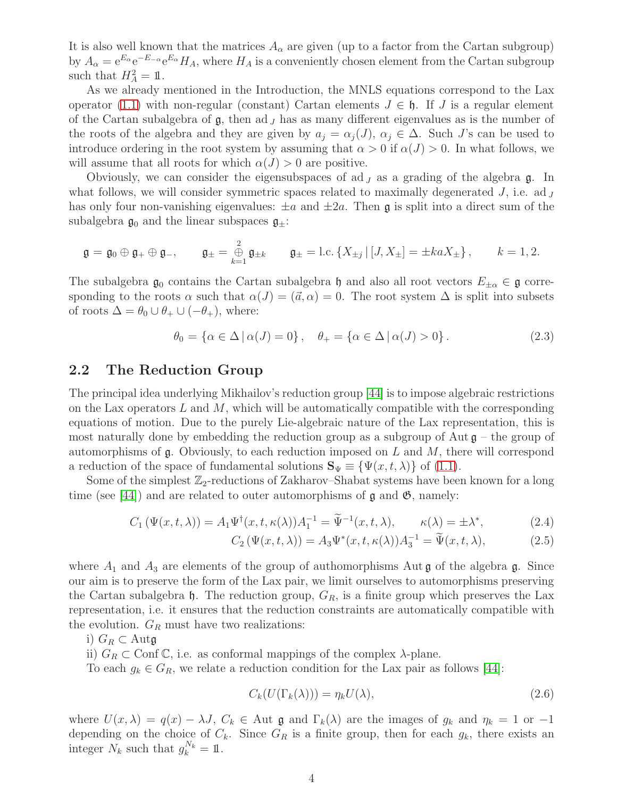It is also well known that the matrices  $A_{\alpha}$  are given (up to a factor from the Cartan subgroup) by  $A_\alpha = e^{E_\alpha} e^{-E_{-\alpha}} e^{E_\alpha} H_A$ , where  $H_A$  is a conveniently chosen element from the Cartan subgroup such that  $H_A^2 = \mathbb{1}$ .

As we already mentioned in the Introduction, the MNLS equations correspond to the Lax operator [\(1.1\)](#page-1-0) with non-regular (constant) Cartan elements  $J \in \mathfrak{h}$ . If J is a regular element of the Cartan subalgebra of  $\mathfrak{g}$ , then ad  $<sub>J</sub>$  has as many different eigenvalues as is the number of</sub> the roots of the algebra and they are given by  $a_i = \alpha_i(J)$ ,  $\alpha_i \in \Delta$ . Such J's can be used to introduce ordering in the root system by assuming that  $\alpha > 0$  if  $\alpha(J) > 0$ . In what follows, we will assume that all roots for which  $\alpha(J) > 0$  are positive.

Obviously, we can consider the eigensubspaces of ad  $J$  as a grading of the algebra  $\mathfrak{g}$ . In what follows, we will consider symmetric spaces related to maximally degenerated  $J$ , i.e. ad  $J$ has only four non-vanishing eigenvalues:  $\pm a$  and  $\pm 2a$ . Then g is split into a direct sum of the subalgebra  $\mathfrak{g}_0$  and the linear subspaces  $\mathfrak{g}_\pm$ :

$$
\mathfrak{g} = \mathfrak{g}_0 \oplus \mathfrak{g}_+ \oplus \mathfrak{g}_-, \qquad \mathfrak{g}_\pm = \bigoplus_{k=1}^2 \mathfrak{g}_{\pm k} \qquad \mathfrak{g}_\pm = \text{l.c.} \left\{ X_{\pm j} \, | \, [J, X_\pm] = \pm k a X_\pm \right\}, \qquad k = 1, 2.
$$

The subalgebra  $\mathfrak{g}_0$  contains the Cartan subalgebra h and also all root vectors  $E_{\pm\alpha} \in \mathfrak{g}$  corresponding to the roots  $\alpha$  such that  $\alpha(J) = (\vec{a}, \alpha) = 0$ . The root system  $\Delta$  is split into subsets of roots  $\Delta = \theta_0 \cup \theta_+ \cup (-\theta_+),$  where:

$$
\theta_0 = \{ \alpha \in \Delta \, | \, \alpha(J) = 0 \}, \quad \theta_+ = \{ \alpha \in \Delta \, | \, \alpha(J) > 0 \}. \tag{2.3}
$$

#### 2.2 The Reduction Group

The principal idea underlying Mikhailov's reduction group [\[44\]](#page-16-6) is to impose algebraic restrictions on the Lax operators  $L$  and  $M$ , which will be automatically compatible with the corresponding equations of motion. Due to the purely Lie-algebraic nature of the Lax representation, this is most naturally done by embedding the reduction group as a subgroup of Aut  $\mathfrak{g}$  – the group of automorphisms of  $\mathfrak g$ . Obviously, to each reduction imposed on L and M, there will correspond a reduction of the space of fundamental solutions  $\mathbf{S}_{\Psi} \equiv {\Psi(x, t, \lambda)}$  of [\(1.1\)](#page-1-0).

Some of the simplest  $\mathbb{Z}_2$ -reductions of Zakharov–Shabat systems have been known for a long time (see [\[44\]](#page-16-6)) and are related to outer automorphisms of  $\mathfrak g$  and  $\mathfrak G$ , namely:

$$
C_1(\Psi(x,t,\lambda)) = A_1 \Psi^{\dagger}(x,t,\kappa(\lambda)) A_1^{-1} = \widetilde{\Psi}^{-1}(x,t,\lambda), \qquad \kappa(\lambda) = \pm \lambda^*, \tag{2.4}
$$

$$
C_2(\Psi(x,t,\lambda)) = A_3 \Psi^*(x,t,\kappa(\lambda)) A_3^{-1} = \widetilde{\Psi}(x,t,\lambda), \tag{2.5}
$$

where  $A_1$  and  $A_3$  are elements of the group of authomorphisms Aut **g** of the algebra **g**. Since our aim is to preserve the form of the Lax pair, we limit ourselves to automorphisms preserving the Cartan subalgebra  $\mathfrak h$ . The reduction group,  $G_R$ , is a finite group which preserves the Lax representation, i.e. it ensures that the reduction constraints are automatically compatible with the evolution.  $G_R$  must have two realizations:

i)  $G_R \subset$  Autg

ii)  $G_R \subset \text{Conf } \mathbb{C}$ , i.e. as conformal mappings of the complex  $\lambda$ -plane.

To each  $g_k \in G_R$ , we relate a reduction condition for the Lax pair as follows [\[44\]](#page-16-6):

$$
C_k(U(\Gamma_k(\lambda))) = \eta_k U(\lambda),\tag{2.6}
$$

where  $U(x, \lambda) = q(x) - \lambda J$ ,  $C_k \in$  Aut g and  $\Gamma_k(\lambda)$  are the images of  $g_k$  and  $\eta_k = 1$  or  $-1$ depending on the choice of  $C_k$ . Since  $G_R$  is a finite group, then for each  $g_k$ , there exists an integer  $N_k$  such that  $g_k^{N_k} = 1$ .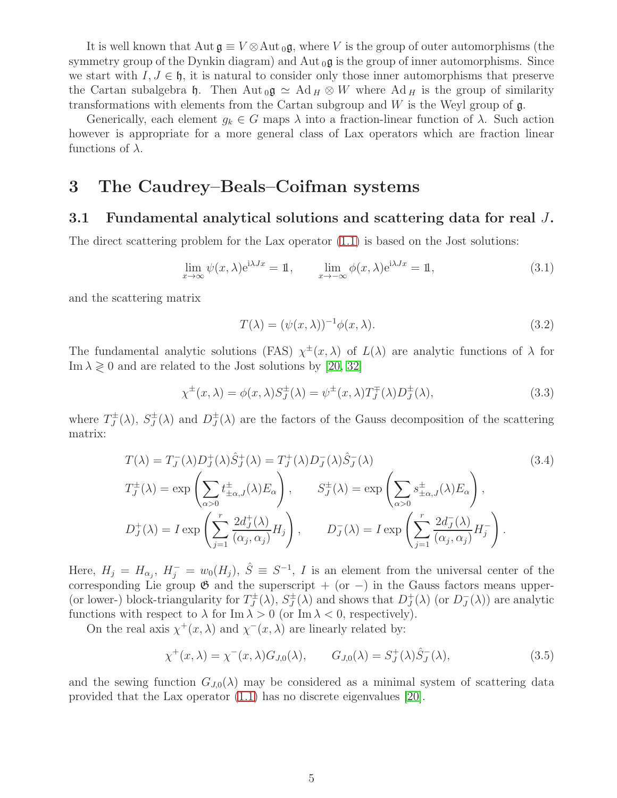It is well known that  $\text{Aut } \mathfrak{g} \equiv V \otimes \text{Aut }_{0} \mathfrak{g}$ , where V is the group of outer automorphisms (the symmetry group of the Dynkin diagram) and Aut  $_{0}$ g is the group of inner automorphisms. Since we start with  $I, J \in \mathfrak{h}$ , it is natural to consider only those inner automorphisms that preserve the Cartan subalgebra h. Then Aut  $_0 \mathfrak{g} \simeq \mathrm{Ad} H \otimes W$  where  $\mathrm{Ad} H$  is the group of similarity transformations with elements from the Cartan subgroup and  $W$  is the Weyl group of  $\mathfrak{g}$ .

Generically, each element  $g_k \in G$  maps  $\lambda$  into a fraction-linear function of  $\lambda$ . Such action however is appropriate for a more general class of Lax operators which are fraction linear functions of  $\lambda$ .

## 3 The Caudrey–Beals–Coifman systems

#### 3.1 Fundamental analytical solutions and scattering data for real J.

The direct scattering problem for the Lax operator [\(1.1\)](#page-1-0) is based on the Jost solutions:

$$
\lim_{x \to \infty} \psi(x, \lambda) e^{i\lambda Jx} = 1, \qquad \lim_{x \to -\infty} \phi(x, \lambda) e^{i\lambda Jx} = 1,
$$
\n(3.1)

and the scattering matrix

$$
T(\lambda) = (\psi(x, \lambda))^{-1} \phi(x, \lambda).
$$
\n(3.2)

The fundamental analytic solutions (FAS)  $\chi^{\pm}(x,\lambda)$  of  $L(\lambda)$  are analytic functions of  $\lambda$  for Im  $\lambda \geq 0$  and are related to the Jost solutions by [\[20,](#page-14-6) [32\]](#page-15-10)

$$
\chi^{\pm}(x,\lambda) = \phi(x,\lambda)S_J^{\pm}(\lambda) = \psi^{\pm}(x,\lambda)T_J^{\mp}(\lambda)D_J^{\pm}(\lambda),\tag{3.3}
$$

where  $T_J^{\pm}$  $J^{\pm}(\lambda)$ ,  $S_J^{\pm}$  $J_J^{\pm}(\lambda)$  and  $D_J^{\pm}$  $\sigma_J^{\pm}(\lambda)$  are the factors of the Gauss decomposition of the scattering matrix:

$$
T(\lambda) = T_J^-(\lambda)D_J^+(\lambda)\hat{S}_J^+(\lambda) = T_J^+(\lambda)D_J^-(\lambda)\hat{S}_J^-(\lambda)
$$
\n
$$
T_J^{\pm}(\lambda) = \exp\left(\sum_{\alpha>0} t_{\pm\alpha,J}^{\pm}(\lambda)E_{\alpha}\right), \qquad S_J^{\pm}(\lambda) = \exp\left(\sum_{\alpha>0} s_{\pm\alpha,J}^{\pm}(\lambda)E_{\alpha}\right),
$$
\n
$$
D_J^+(\lambda) = I \exp\left(\sum_{j=1}^r \frac{2d_J^+(\lambda)}{(\alpha_j, \alpha_j)} H_j\right), \qquad D_J^-(\lambda) = I \exp\left(\sum_{j=1}^r \frac{2d_J^-(\lambda)}{(\alpha_j, \alpha_j)} H_j\right).
$$
\n(3.4)

Here,  $H_j = H_{\alpha_j}$ ,  $H_j^- = w_0(H_j)$ ,  $\hat{S} \equiv S^{-1}$ , *I* is an element from the universal center of the corresponding Lie group  $\mathfrak G$  and the superscript + (or -) in the Gauss factors means upper-(or lower-) block-triangularity for  $T_J^{\pm}$  $J^{\pm}(\lambda)$ ,  $S_J^{\pm}$  $J_J^{\pm}(\lambda)$  and shows that  $D_J^+$  $_J^{\dagger}(\lambda)$  (or  $D_J^ J(\lambda)$  are analytic functions with respect to  $\lambda$  for Im  $\lambda > 0$  (or Im  $\lambda < 0$ , respectively).

On the real axis  $\chi^+(x,\lambda)$  and  $\chi^-(x,\lambda)$  are linearly related by:

$$
\chi^+(x,\lambda) = \chi^-(x,\lambda)G_{J,0}(\lambda), \qquad G_{J,0}(\lambda) = S_J^+(\lambda)\hat{S}_J^-(\lambda), \tag{3.5}
$$

and the sewing function  $G_{J,0}(\lambda)$  may be considered as a minimal system of scattering data provided that the Lax operator [\(1.1\)](#page-1-0) has no discrete eigenvalues [\[20\]](#page-14-6).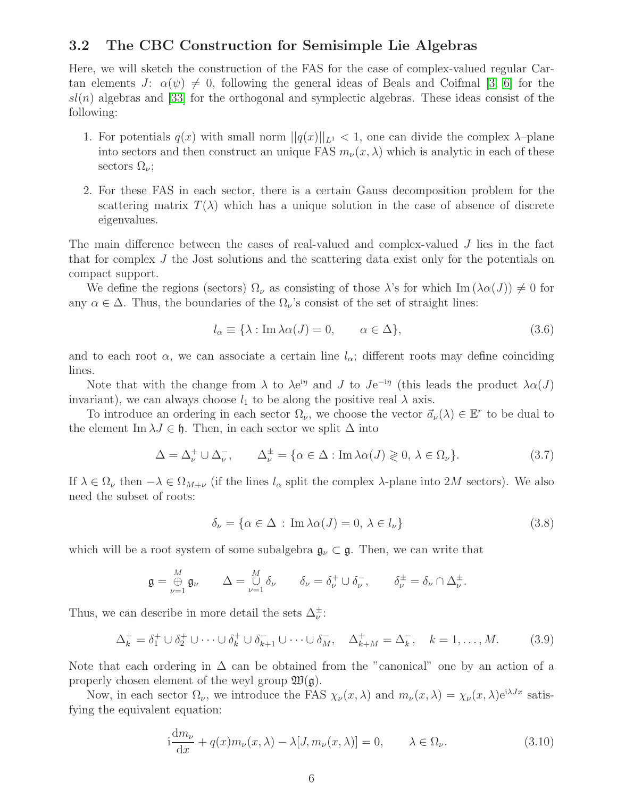#### 3.2 The CBC Construction for Semisimple Lie Algebras

Here, we will sketch the construction of the FAS for the case of complex-valued regular Cartan elements  $J: \alpha(\psi) \neq 0$ , following the general ideas of Beals and Coifmal [\[3,](#page-13-1) [6\]](#page-13-5) for the  $sl(n)$  algebras and [\[33\]](#page-15-8) for the orthogonal and symplectic algebras. These ideas consist of the following:

- 1. For potentials  $q(x)$  with small norm  $||q(x)||_{L^1} < 1$ , one can divide the complex  $\lambda$ -plane into sectors and then construct an unique FAS  $m_{\nu}(x, \lambda)$  which is analytic in each of these sectors  $\Omega_{\nu}$ ;
- 2. For these FAS in each sector, there is a certain Gauss decomposition problem for the scattering matrix  $T(\lambda)$  which has a unique solution in the case of absence of discrete eigenvalues.

The main difference between the cases of real-valued and complex-valued J lies in the fact that for complex J the Jost solutions and the scattering data exist only for the potentials on compact support.

We define the regions (sectors)  $\Omega_{\nu}$  as consisting of those  $\lambda$ 's for which Im  $(\lambda \alpha(J)) \neq 0$  for any  $\alpha \in \Delta$ . Thus, the boundaries of the  $\Omega_{\nu}$ 's consist of the set of straight lines:

$$
l_{\alpha} \equiv \{\lambda : \text{Im}\,\lambda \alpha(J) = 0, \qquad \alpha \in \Delta\},\tag{3.6}
$$

and to each root  $\alpha$ , we can associate a certain line  $l_{\alpha}$ ; different roots may define coinciding lines.

Note that with the change from  $\lambda$  to  $\lambda e^{i\eta}$  and J to  $Je^{-i\eta}$  (this leads the product  $\lambda \alpha(J)$ invariant), we can always choose  $l_1$  to be along the positive real  $\lambda$  axis.

To introduce an ordering in each sector  $\Omega_{\nu}$ , we choose the vector  $\vec{a}_{\nu}(\lambda) \in \mathbb{E}^r$  to be dual to the element Im  $\lambda J \in \mathfrak{h}$ . Then, in each sector we split  $\Delta$  into

$$
\Delta = \Delta_{\nu}^{+} \cup \Delta_{\nu}^{-}, \qquad \Delta_{\nu}^{\pm} = \{ \alpha \in \Delta : \text{Im} \lambda \alpha(J) \geqslant 0, \lambda \in \Omega_{\nu} \}. \tag{3.7}
$$

If  $\lambda \in \Omega_{\nu}$  then  $-\lambda \in \Omega_{M+\nu}$  (if the lines  $l_{\alpha}$  split the complex  $\lambda$ -plane into  $2M$  sectors). We also need the subset of roots:

$$
\delta_{\nu} = \{ \alpha \in \Delta \, : \, \text{Im} \, \lambda \alpha(J) = 0, \, \lambda \in l_{\nu} \} \tag{3.8}
$$

which will be a root system of some subalgebra  $\mathfrak{g}_{\nu} \subset \mathfrak{g}$ . Then, we can write that

$$
\mathfrak{g} = \bigoplus_{\nu=1}^M \mathfrak{g}_{\nu} \qquad \Delta = \bigcup_{\nu=1}^M \delta_{\nu} \qquad \delta_{\nu} = \delta_{\nu}^+ \cup \delta_{\nu}^-, \qquad \delta_{\nu}^{\pm} = \delta_{\nu} \cap \Delta_{\nu}^{\pm}.
$$

Thus, we can describe in more detail the sets  $\Delta^{\pm}_{\nu}$ :

$$
\Delta_k^+ = \delta_1^+ \cup \delta_2^+ \cup \dots \cup \delta_k^+ \cup \delta_{k+1}^- \cup \dots \cup \delta_M^-, \quad \Delta_{k+M}^+ = \Delta_k^-, \quad k = 1, \dots, M. \tag{3.9}
$$

Note that each ordering in  $\Delta$  can be obtained from the "canonical" one by an action of a properly chosen element of the weyl group  $\mathfrak{W}(\mathfrak{g})$ .

Now, in each sector  $\Omega_{\nu}$ , we introduce the FAS  $\chi_{\nu}(x,\lambda)$  and  $m_{\nu}(x,\lambda) = \chi_{\nu}(x,\lambda)e^{i\lambda Jx}$  satisfying the equivalent equation:

$$
i\frac{dm_{\nu}}{dx} + q(x)m_{\nu}(x,\lambda) - \lambda[J,m_{\nu}(x,\lambda)] = 0, \qquad \lambda \in \Omega_{\nu}.
$$
 (3.10)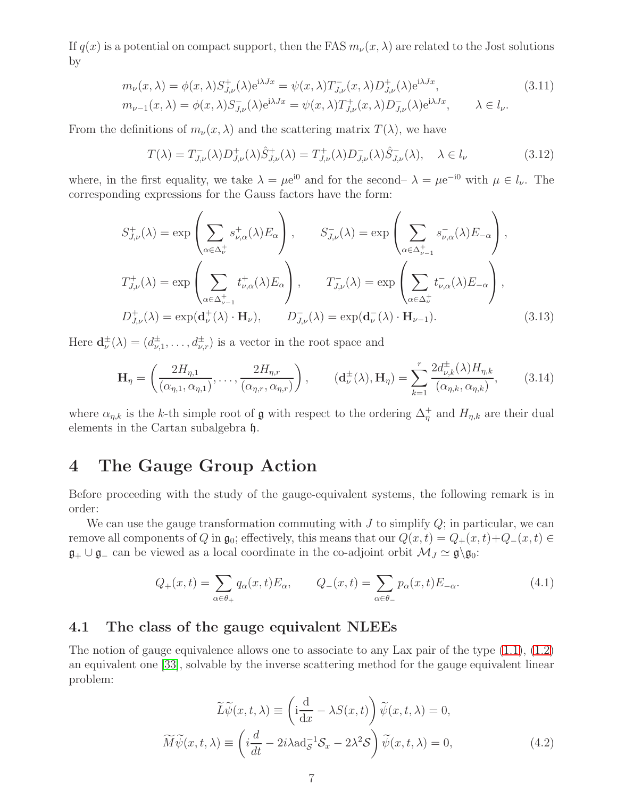If  $q(x)$  is a potential on compact support, then the FAS  $m_{\nu}(x, \lambda)$  are related to the Jost solutions by

$$
m_{\nu}(x,\lambda) = \phi(x,\lambda)S_{J,\nu}^{+}(\lambda)e^{i\lambda Jx} = \psi(x,\lambda)T_{J,\nu}^{-}(x,\lambda)D_{J,\nu}^{+}(\lambda)e^{i\lambda Jx},
$$
  
\n
$$
m_{\nu-1}(x,\lambda) = \phi(x,\lambda)S_{J,\nu}^{-}(\lambda)e^{i\lambda Jx} = \psi(x,\lambda)T_{J,\nu}^{+}(x,\lambda)D_{J,\nu}^{-}(\lambda)e^{i\lambda Jx}, \qquad \lambda \in l_{\nu}.
$$
\n(3.11)

From the definitions of  $m_{\nu}(x,\lambda)$  and the scattering matrix  $T(\lambda)$ , we have

$$
T(\lambda) = T_{J,\nu}^-(\lambda)D_{J,\nu}^+(\lambda)\hat{S}_{J,\nu}^+(\lambda) = T_{J,\nu}^+(\lambda)D_{J,\nu}^-(\lambda)\hat{S}_{J,\nu}^-(\lambda), \quad \lambda \in l_\nu
$$
\n(3.12)

where, in the first equality, we take  $\lambda = \mu e^{i\theta}$  and for the second–  $\lambda = \mu e^{-i\theta}$  with  $\mu \in l_{\nu}$ . The corresponding expressions for the Gauss factors have the form:

$$
S_{J,\nu}^{+}(\lambda) = \exp\left(\sum_{\alpha \in \Delta_{\nu}^{+}} s_{\nu,\alpha}^{+}(\lambda) E_{\alpha}\right), \qquad S_{J,\nu}^{-}(\lambda) = \exp\left(\sum_{\alpha \in \Delta_{\nu-1}^{+}} s_{\nu,\alpha}^{-}(\lambda) E_{-\alpha}\right),
$$
  

$$
T_{J,\nu}^{+}(\lambda) = \exp\left(\sum_{\alpha \in \Delta_{\nu-1}^{+}} t_{\nu,\alpha}^{+}(\lambda) E_{\alpha}\right), \qquad T_{J,\nu}^{-}(\lambda) = \exp\left(\sum_{\alpha \in \Delta_{\nu}^{+}} t_{\nu,\alpha}^{-}(\lambda) E_{-\alpha}\right),
$$
  

$$
D_{J,\nu}^{+}(\lambda) = \exp(\mathbf{d}_{\nu}^{+}(\lambda) \cdot \mathbf{H}_{\nu}), \qquad D_{J,\nu}^{-}(\lambda) = \exp(\mathbf{d}_{\nu}^{-}(\lambda) \cdot \mathbf{H}_{\nu-1}).
$$
 (3.13)

Here  $\mathbf{d}_{\nu}^{\pm}(\lambda) = (d_{\nu,1}^{\pm}, \ldots, d_{\nu,r}^{\pm})$  is a vector in the root space and

$$
\mathbf{H}_{\eta} = \left(\frac{2H_{\eta,1}}{(\alpha_{\eta,1}, \alpha_{\eta,1})}, \dots, \frac{2H_{\eta,r}}{(\alpha_{\eta,r}, \alpha_{\eta,r})}\right), \qquad (\mathbf{d}_{\nu}^{\pm}(\lambda), \mathbf{H}_{\eta}) = \sum_{k=1}^{r} \frac{2d_{\nu,k}^{\pm}(\lambda)H_{\eta,k}}{(\alpha_{\eta,k}, \alpha_{\eta,k})},\tag{3.14}
$$

where  $\alpha_{\eta,k}$  is the k-th simple root of  $\mathfrak g$  with respect to the ordering  $\Delta_{\eta}^+$  and  $H_{\eta,k}$  are their dual elements in the Cartan subalgebra h.

### 4 The Gauge Group Action

Before proceeding with the study of the gauge-equivalent systems, the following remark is in order:

We can use the gauge transformation commuting with  $J$  to simplify  $Q$ ; in particular, we can remove all components of Q in  $\mathfrak{g}_0$ ; effectively, this means that our  $Q(x,t) = Q_+(x,t) + Q_-(x,t) \in$  $\mathfrak{g}_+ \cup \mathfrak{g}_-$  can be viewed as a local coordinate in the co-adjoint orbit  $\mathcal{M}_J \simeq \mathfrak{g} \setminus \mathfrak{g}_0$ :

$$
Q_{+}(x,t) = \sum_{\alpha \in \theta_{+}} q_{\alpha}(x,t) E_{\alpha}, \qquad Q_{-}(x,t) = \sum_{\alpha \in \theta_{-}} p_{\alpha}(x,t) E_{-\alpha}.
$$
\n(4.1)

### 4.1 The class of the gauge equivalent NLEEs

The notion of gauge equivalence allows one to associate to any Lax pair of the type  $(1.1)$ ,  $(1.2)$ an equivalent one [\[33\]](#page-15-8), solvable by the inverse scattering method for the gauge equivalent linear problem:

$$
\widetilde{L}\widetilde{\psi}(x,t,\lambda) \equiv \left(\mathrm{i}\frac{\mathrm{d}}{\mathrm{d}x} - \lambda S(x,t)\right)\widetilde{\psi}(x,t,\lambda) = 0,
$$
\n
$$
\widetilde{M}\widetilde{\psi}(x,t,\lambda) \equiv \left(i\frac{d}{dt} - 2i\lambda \mathrm{ad}_{\mathcal{S}}^{-1}\mathcal{S}_x - 2\lambda^2\mathcal{S}\right)\widetilde{\psi}(x,t,\lambda) = 0,
$$
\n(4.2)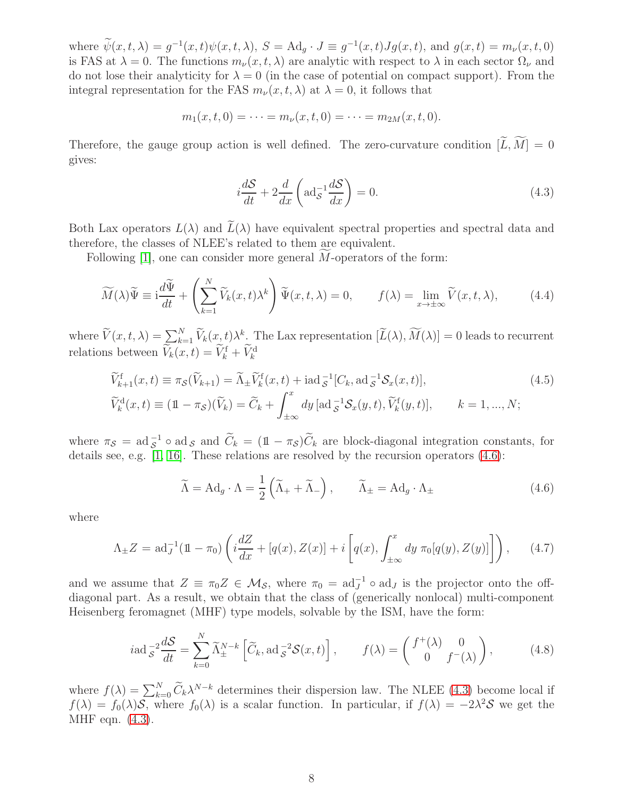where  $\psi(x,t,\lambda) = g^{-1}(x,t)\psi(x,t,\lambda), S = \text{Ad}_g \cdot J \equiv g^{-1}(x,t)Jg(x,t), \text{ and } g(x,t) = m_\nu(x,t,0)$ is FAS at  $\lambda = 0$ . The functions  $m_{\nu}(x, t, \lambda)$  are analytic with respect to  $\lambda$  in each sector  $\Omega_{\nu}$  and do not lose their analyticity for  $\lambda = 0$  (in the case of potential on compact support). From the integral representation for the FAS  $m_{\nu}(x, t, \lambda)$  at  $\lambda = 0$ , it follows that

$$
m_1(x,t,0) = \cdots = m_{\nu}(x,t,0) = \cdots = m_{2M}(x,t,0).
$$

Therefore, the gauge group action is well defined. The zero-curvature condition  $[\widetilde{L}, \widetilde{M}] = 0$ gives:

<span id="page-8-1"></span>
$$
i\frac{dS}{dt} + 2\frac{d}{dx}\left(\text{ad}_{S}^{-1}\frac{dS}{dx}\right) = 0.
$$
\n(4.3)

Both Lax operators  $L(\lambda)$  and  $\widetilde{L}(\lambda)$  have equivalent spectral properties and spectral data and therefore, the classes of NLEE's related to them are equivalent.

Following  $[1]$ , one can consider more general M-operators of the form:

$$
\widetilde{M}(\lambda)\widetilde{\Psi} \equiv \mathrm{i}\frac{d\widetilde{\Psi}}{dt} + \left(\sum_{k=1}^{N} \widetilde{V}_k(x,t)\lambda^k\right) \widetilde{\Psi}(x,t,\lambda) = 0, \qquad f(\lambda) = \lim_{x \to \pm \infty} \widetilde{V}(x,t,\lambda), \tag{4.4}
$$

where  $\widetilde{V}(x,t,\lambda) = \sum_{k=1}^{N} \widetilde{V}_k(x,t) \lambda^k$ . The Lax representation  $[\widetilde{L}(\lambda), \widetilde{M}(\lambda)] = 0$  leads to recurrent relations between  $\tilde{V}_k(x,t) = \tilde{V}_k^{\text{f}} + \tilde{V}_k^{\text{d}}$ 

$$
\widetilde{V}_{k+1}^{\text{f}}(x,t) \equiv \pi_{\mathcal{S}}(\widetilde{V}_{k+1}) = \widetilde{\Lambda}_{\pm} \widetilde{V}_{k}^{\text{f}}(x,t) + \text{iad}_{\mathcal{S}}^{-1}[C_{k}, \text{ad}_{\mathcal{S}}^{-1} \mathcal{S}_{x}(x,t)],
$$
\n
$$
\widetilde{V}_{k}^{\text{d}}(x,t) \equiv (\mathbb{1} - \pi_{\mathcal{S}})(\widetilde{V}_{k}) = \widetilde{C}_{k} + \int_{\pm \infty}^{x} dy \, [\text{ad}_{\mathcal{S}}^{-1} \mathcal{S}_{x}(y,t), \widetilde{V}_{k}^{\text{f}}(y,t)], \qquad k = 1, ..., N;
$$
\n(4.5)

where  $\pi_{\mathcal{S}} = \text{ad}_{\mathcal{S}}^{-1} \circ \text{ad}_{\mathcal{S}}$  and  $\widetilde{C}_k = (\mathbb{1} - \pi_{\mathcal{S}}) \widetilde{C}_k$  are block-diagonal integration constants, for details see, e.g. [\[1,](#page-13-0) [16\]](#page-14-7). These relations are resolved by the recursion operators [\(4.6\)](#page-8-0):

<span id="page-8-0"></span>
$$
\widetilde{\Lambda} = \mathrm{Ad}_g \cdot \Lambda = \frac{1}{2} \left( \widetilde{\Lambda}_+ + \widetilde{\Lambda}_- \right), \qquad \widetilde{\Lambda}_\pm = \mathrm{Ad}_g \cdot \Lambda_\pm \tag{4.6}
$$

where

<span id="page-8-2"></span>
$$
\Lambda_{\pm}Z = \mathrm{ad}_{J}^{-1}(\mathbb{1} - \pi_{0}) \left( i \frac{dZ}{dx} + [q(x), Z(x)] + i \left[ q(x), \int_{\pm \infty}^{x} dy \ \pi_{0}[q(y), Z(y)] \right] \right), \tag{4.7}
$$

and we assume that  $Z \equiv \pi_0 Z \in \mathcal{M}_{\mathcal{S}}$ , where  $\pi_0 = \text{ad}_J^{-1} \circ \text{ad}_J$  is the projector onto the offdiagonal part. As a result, we obtain that the class of (generically nonlocal) multi-component Heisenberg feromagnet (MHF) type models, solvable by the ISM, have the form:

$$
i\text{ad}\, \frac{x^2}{\delta t} \frac{dS}{dt} = \sum_{k=0}^N \widetilde{\Lambda}_\pm^{N-k} \left[ \widetilde{C}_k, \text{ad}\, \frac{x^2}{\delta s^2} S(x, t) \right], \qquad f(\lambda) = \begin{pmatrix} f^+(\lambda) & 0 \\ 0 & f^-(\lambda) \end{pmatrix}, \tag{4.8}
$$

where  $f(\lambda) = \sum_{k=0}^{N} \widetilde{C}_k \lambda^{N-k}$  determines their dispersion law. The NLEE [\(4.3\)](#page-8-1) become local if  $f(\lambda) = f_0(\lambda)S$ , where  $f_0(\lambda)$  is a scalar function. In particular, if  $f(\lambda) = -2\lambda^2S$  we get the MHF eqn. [\(4.3\)](#page-8-1).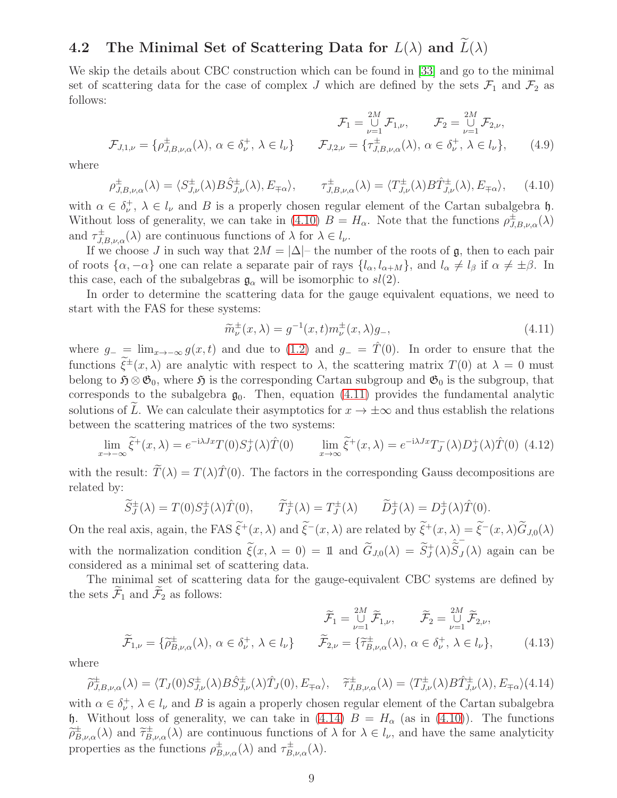# 4.2 The Minimal Set of Scattering Data for  $L(\lambda)$  and  $\widetilde{L}(\lambda)$

We skip the details about CBC construction which can be found in [\[33\]](#page-15-8) and go to the minimal set of scattering data for the case of complex J which are defined by the sets  $\mathcal{F}_1$  and  $\mathcal{F}_2$  as follows:

$$
\mathcal{F}_1 = \bigcup_{\nu=1}^{2M} \mathcal{F}_{1,\nu}, \qquad \mathcal{F}_2 = \bigcup_{\nu=1}^{2M} \mathcal{F}_{2,\nu},
$$

$$
\mathcal{F}_{J,1,\nu} = \{ \rho_{J,B,\nu,\alpha}^{\pm}(\lambda), \ \alpha \in \delta_{\nu}^{+}, \ \lambda \in l_{\nu} \} \qquad \mathcal{F}_{J,2,\nu} = \{ \tau_{J,B,\nu,\alpha}^{\pm}(\lambda), \ \alpha \in \delta_{\nu}^{+}, \ \lambda \in l_{\nu} \}, \qquad (4.9)
$$

where

<span id="page-9-0"></span>
$$
\rho_{J,B,\nu,\alpha}^{\pm}(\lambda) = \langle S_{J,\nu}^{\pm}(\lambda) B \hat{S}_{J,\nu}^{\pm}(\lambda), E_{\mp\alpha} \rangle, \qquad \tau_{J,B,\nu,\alpha}^{\pm}(\lambda) = \langle T_{J,\nu}^{\pm}(\lambda) B \hat{T}_{J,\nu}^{\pm}(\lambda), E_{\mp\alpha} \rangle, \tag{4.10}
$$

with  $\alpha \in \delta_{\nu}^{+}$ ,  $\lambda \in l_{\nu}$  and B is a properly chosen regular element of the Cartan subalgebra h. Without loss of generality, we can take in [\(4.10\)](#page-9-0)  $B = H_\alpha$ . Note that the functions  $\rho_{J,B,\nu,\alpha}^{\pm}(\lambda)$ and  $\tau_{J,B,\nu,\alpha}^{\pm}(\lambda)$  are continuous functions of  $\lambda$  for  $\lambda \in l_{\nu}$ .

If we choose J in such way that  $2M = |\Delta|$ – the number of the roots of g, then to each pair of roots  $\{\alpha, -\alpha\}$  one can relate a separate pair of rays  $\{l_{\alpha}, l_{\alpha+M}\}\$ , and  $l_{\alpha} \neq l_{\beta}$  if  $\alpha \neq \pm \beta$ . In this case, each of the subalgebras  $\mathfrak{g}_{\alpha}$  will be isomorphic to  $sl(2)$ .

In order to determine the scattering data for the gauge equivalent equations, we need to start with the FAS for these systems:

<span id="page-9-1"></span>
$$
\widetilde{m}_{\nu}^{\pm}(x,\lambda) = g^{-1}(x,t)m_{\nu}^{\pm}(x,\lambda)g_{-},\tag{4.11}
$$

where  $g_{-} = \lim_{x \to -\infty} g(x, t)$  and due to [\(1.2\)](#page-2-0) and  $g_{-} = \hat{T}(0)$ . In order to ensure that the functions  $\xi^{\pm}(x,\lambda)$  are analytic with respect to  $\lambda$ , the scattering matrix  $T(0)$  at  $\lambda = 0$  must belong to  $\mathfrak{H} \otimes \mathfrak{G}_0$ , where  $\mathfrak{H}$  is the corresponding Cartan subgroup and  $\mathfrak{G}_0$  is the subgroup, that corresponds to the subalgebra  $\mathfrak{g}_0$ . Then, equation [\(4.11\)](#page-9-1) provides the fundamental analytic solutions of  $\tilde{L}$ . We can calculate their asymptotics for  $x \to \pm \infty$  and thus establish the relations between the scattering matrices of the two systems:

$$
\lim_{x \to -\infty} \tilde{\xi}^+(x,\lambda) = e^{-i\lambda Jx} T(0) S_J^+(\lambda) \hat{T}(0) \qquad \lim_{x \to \infty} \tilde{\xi}^+(x,\lambda) = e^{-i\lambda Jx} T_J^-(\lambda) D_J^+(\lambda) \hat{T}(0) \tag{4.12}
$$

with the result:  $\tilde{T}(\lambda) = T(\lambda)\hat{T}(0)$ . The factors in the corresponding Gauss decompositions are related by:

$$
\widetilde{S}_{J}^{\pm}(\lambda) = T(0)S_{J}^{\pm}(\lambda)\hat{T}(0), \qquad \widetilde{T}_{J}^{\pm}(\lambda) = T_{J}^{\pm}(\lambda) \qquad \widetilde{D}_{J}^{\pm}(\lambda) = D_{J}^{\pm}(\lambda)\hat{T}(0).
$$

On the real axis, again, the FAS  $\tilde{\xi}^+(x,\lambda)$  and  $\tilde{\xi}^-(x,\lambda)$  are related by  $\tilde{\xi}^+(x,\lambda) = \tilde{\xi}^-(x,\lambda)\tilde{G}_{J,0}(\lambda)$ with the normalization condition  $\tilde{\xi}(x,\lambda=0) = 11$  and  $\tilde{G}_{J,0}(\lambda) = \tilde{S}_J^+(\lambda)\tilde{S}_J^-(\lambda)$ −  $J(\lambda)$  again can be considered as a minimal set of scattering data.

The minimal set of scattering data for the gauge-equivalent CBC systems are defined by the sets  $\mathcal{F}_1$  and  $\mathcal{F}_2$  as follows:

$$
\widetilde{\mathcal{F}}_1 = \bigcup_{\nu=1}^{2M} \widetilde{\mathcal{F}}_{1,\nu}, \qquad \widetilde{\mathcal{F}}_2 = \bigcup_{\nu=1}^{2M} \widetilde{\mathcal{F}}_{2,\nu}, \n\widetilde{\mathcal{F}}_{1,\nu} = \{ \widetilde{\rho}_{B,\nu,\alpha}^{\pm}(\lambda), \ \alpha \in \delta_{\nu}^{+}, \ \lambda \in l_{\nu} \} \qquad \widetilde{\mathcal{F}}_{2,\nu} = \{ \widetilde{\tau}_{B,\nu,\alpha}^{\pm}(\lambda), \ \alpha \in \delta_{\nu}^{+}, \ \lambda \in l_{\nu} \}, \tag{4.13}
$$

where

<span id="page-9-2"></span> $\widetilde{\rho}_{J,B,\nu,\alpha}^{\pm}(\lambda) = \langle T_J(0)S_{J,\nu}^{\pm}(\lambda)B\hat{S}_{J,\nu}^{\pm}(\lambda)\hat{T}_J(0), E_{\mp\alpha}\rangle, \quad \widetilde{\tau}_{J,B,\nu,\alpha}^{\pm}(\lambda) = \langle T_{J,\nu}^{\pm}(\lambda)B\hat{T}_{J,\nu}^{\pm}(\lambda), E_{\mp\alpha}\rangle$ (4.14)

with  $\alpha \in \delta_{\nu}^{+}$ ,  $\lambda \in l_{\nu}$  and B is again a properly chosen regular element of the Cartan subalgebra h. Without loss of generality, we can take in [\(4.14\)](#page-9-2)  $B = H_{\alpha}$  (as in [\(4.10\)](#page-9-0)). The functions  $\widetilde{\rho}_{B,\nu,\alpha}^{\pm}(\lambda)$  and  $\widetilde{\tau}_{B,\nu,\alpha}^{\pm}(\lambda)$  are continuous functions of  $\lambda$  for  $\lambda \in l_{\nu}$ , and have the same analyticity properties as the functions  $\rho_{B,\nu,\alpha}^{\pm}(\lambda)$  and  $\tau_{B,\nu,\alpha}^{\pm}(\lambda)$ .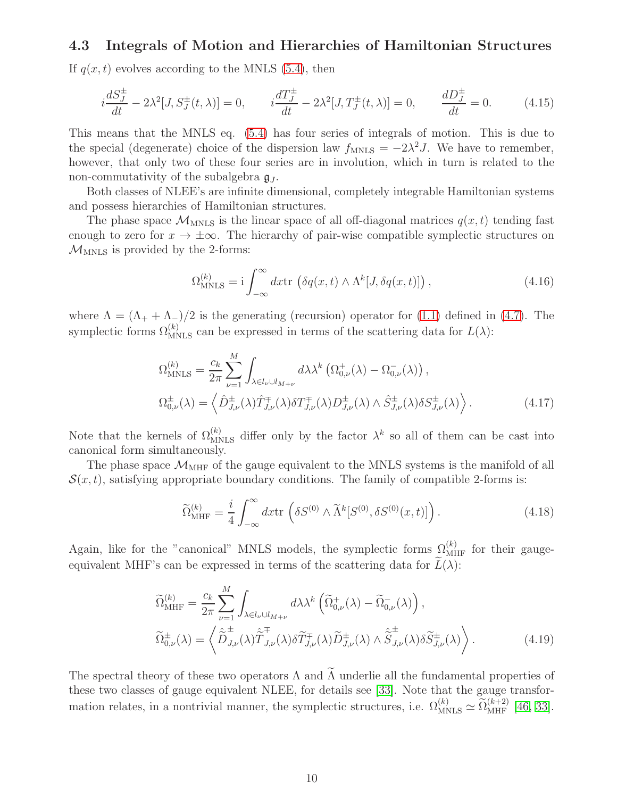#### 4.3 Integrals of Motion and Hierarchies of Hamiltonian Structures

If  $q(x, t)$  evolves according to the MNLS [\(5.4\)](#page-12-0), then

$$
i\frac{dS_J^{\pm}}{dt} - 2\lambda^2[J, S_J^{\pm}(t, \lambda)] = 0, \qquad i\frac{dT_J^{\pm}}{dt} - 2\lambda^2[J, T_J^{\pm}(t, \lambda)] = 0, \qquad \frac{dD_J^{\pm}}{dt} = 0. \tag{4.15}
$$

This means that the MNLS eq. [\(5.4\)](#page-12-0) has four series of integrals of motion. This is due to the special (degenerate) choice of the dispersion law  $f_{MNLS} = -2\lambda^2 J$ . We have to remember, however, that only two of these four series are in involution, which in turn is related to the non-commutativity of the subalgebra  $\mathfrak{g}_J$ .

Both classes of NLEE's are infinite dimensional, completely integrable Hamiltonian systems and possess hierarchies of Hamiltonian structures.

The phase space  $\mathcal{M}_{MNLS}$  is the linear space of all off-diagonal matrices  $q(x, t)$  tending fast enough to zero for  $x \to \pm \infty$ . The hierarchy of pair-wise compatible symplectic structures on  $\mathcal{M}_{\text{MNLS}}$  is provided by the 2-forms:

$$
\Omega_{\text{MNLS}}^{(k)} = \mathbf{i} \int_{-\infty}^{\infty} dx \text{tr} \left( \delta q(x, t) \wedge \Lambda^k[J, \delta q(x, t)] \right), \qquad (4.16)
$$

where  $\Lambda = (\Lambda_+ + \Lambda_-)/2$  is the generating (recursion) operator for [\(1.1\)](#page-1-0) defined in [\(4.7\)](#page-8-2). The symplectic forms  $\Omega_{MNLS}^{(k)}$  can be expressed in terms of the scattering data for  $L(\lambda)$ :

$$
\Omega_{\text{MNLS}}^{(k)} = \frac{c_k}{2\pi} \sum_{\nu=1}^{M} \int_{\lambda \in l_{\nu} \cup l_{M+\nu}} d\lambda \lambda^k \left( \Omega_{0,\nu}^+(\lambda) - \Omega_{0,\nu}^-(\lambda) \right),
$$
\n
$$
\Omega_{0,\nu}^{\pm}(\lambda) = \left\langle \hat{D}_{J,\nu}^{\pm}(\lambda) \hat{T}_{J,\nu}^{\mp}(\lambda) \delta T_{J,\nu}^{\mp}(\lambda) D_{J,\nu}^{\pm}(\lambda) \wedge \hat{S}_{J,\nu}^{\pm}(\lambda) \delta S_{J,\nu}^{\pm}(\lambda) \right\rangle.
$$
\n(4.17)

Note that the kernels of  $\Omega_{\text{MNLS}}^{(k)}$  differ only by the factor  $\lambda^k$  so all of them can be cast into canonical form simultaneously.

The phase space  $\mathcal{M}_{\mathrm{MHF}}$  of the gauge equivalent to the MNLS systems is the manifold of all  $\mathcal{S}(x, t)$ , satisfying appropriate boundary conditions. The family of compatible 2-forms is:

$$
\widetilde{\Omega}_{\rm MHF}^{(k)} = \frac{i}{4} \int_{-\infty}^{\infty} dx \text{tr}\left(\delta S^{(0)} \wedge \widetilde{\Lambda}^k[S^{(0)}, \delta S^{(0)}(x, t)]\right). \tag{4.18}
$$

Again, like for the "canonical" MNLS models, the symplectic forms  $\Omega_{\text{MHF}}^{(k)}$  for their gaugeequivalent MHF's can be expressed in terms of the scattering data for  $\hat{L}(\lambda)$ :

$$
\widetilde{\Omega}_{\text{MHF}}^{(k)} = \frac{c_k}{2\pi} \sum_{\nu=1}^{M} \int_{\lambda \in l_{\nu} \cup l_{M+\nu}} d\lambda \lambda^k \left( \widetilde{\Omega}_{0,\nu}^+(\lambda) - \widetilde{\Omega}_{0,\nu}^-(\lambda) \right),
$$
\n
$$
\widetilde{\Omega}_{0,\nu}^{\pm}(\lambda) = \left\langle \widetilde{\widetilde{D}}_{J,\nu}^{\pm}(\lambda) \widetilde{\widetilde{T}}_{J,\nu}^{\mp}(\lambda) \widetilde{\widetilde{D}}_{J,\nu}^{\mp}(\lambda) \widetilde{\widetilde{D}}_{J,\nu}^{\pm}(\lambda) \wedge \widetilde{\widetilde{S}}_{J,\nu}^{\pm}(\lambda) \widetilde{\widetilde{S}}_{J,\nu}^{\pm}(\lambda) \right\rangle.
$$
\n(4.19)

The spectral theory of these two operators  $\Lambda$  and  $\widetilde{\Lambda}$  underlie all the fundamental properties of these two classes of gauge equivalent NLEE, for details see [\[33\]](#page-15-8). Note that the gauge transformation relates, in a nontrivial manner, the symplectic structures, i.e.  $\Omega_{\text{MNLS}}^{(k)} \simeq \widetilde{\Omega}_{\text{MHF}}^{(k+2)}$  [\[46,](#page-16-12) [33\]](#page-15-8).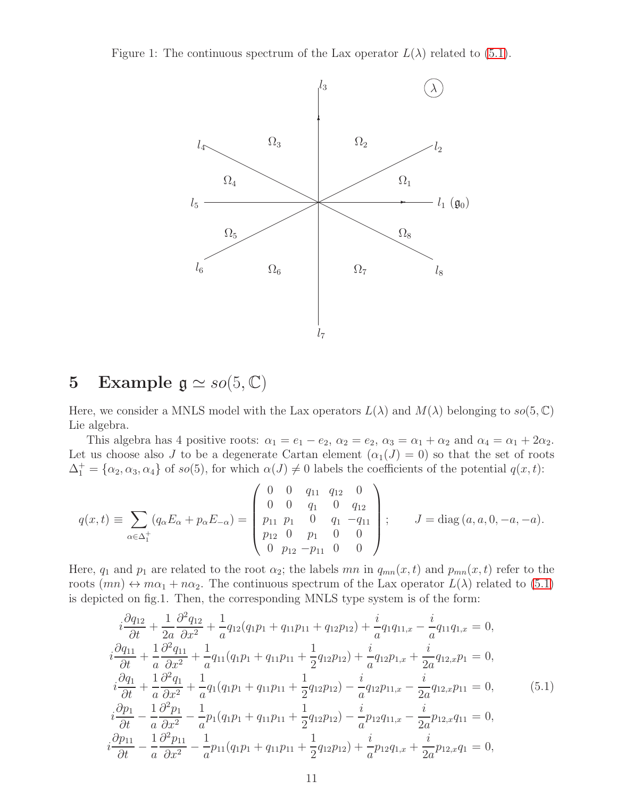Figure 1: The continuous spectrum of the Lax operator  $L(\lambda)$  related to [\(5.1\)](#page-11-0).



# 5 Example  $\mathfrak{g} \simeq so(5, \mathbb{C})$

Here, we consider a MNLS model with the Lax operators  $L(\lambda)$  and  $M(\lambda)$  belonging to  $so(5, \mathbb{C})$ Lie algebra.

This algebra has 4 positive roots:  $\alpha_1 = e_1 - e_2$ ,  $\alpha_2 = e_2$ ,  $\alpha_3 = \alpha_1 + \alpha_2$  and  $\alpha_4 = \alpha_1 + 2\alpha_2$ . Let us choose also J to be a degenerate Cartan element  $(\alpha_1(J) = 0)$  so that the set of roots  $\Delta_1^+ = {\alpha_2, \alpha_3, \alpha_4}$  of so(5), for which  $\alpha(J) \neq 0$  labels the coefficients of the potential  $q(x, t)$ :

$$
q(x,t) \equiv \sum_{\alpha \in \Delta_1^+} (q_\alpha E_\alpha + p_\alpha E_{-\alpha}) = \begin{pmatrix} 0 & 0 & q_{11} & q_{12} & 0 \\ 0 & 0 & q_1 & 0 & q_{12} \\ p_{11} & p_1 & 0 & q_1 & -q_{11} \\ p_{12} & 0 & p_1 & 0 & 0 \\ 0 & p_{12} & -p_{11} & 0 & 0 \end{pmatrix}; \qquad J = \text{diag}(a, a, 0, -a, -a).
$$

Here,  $q_1$  and  $p_1$  are related to the root  $\alpha_2$ ; the labels mn in  $q_{mn}(x, t)$  and  $p_{mn}(x, t)$  refer to the roots  $(mn) \leftrightarrow m\alpha_1 + n\alpha_2$ . The continuous spectrum of the Lax operator  $L(\lambda)$  related to [\(5.1\)](#page-11-0) is depicted on fig.1. Then, the corresponding MNLS type system is of the form:

<span id="page-11-0"></span>
$$
i\frac{\partial q_{12}}{\partial t} + \frac{1}{2a} \frac{\partial^2 q_{12}}{\partial x^2} + \frac{1}{a} q_{12} (q_1 p_1 + q_{11} p_{11} + q_{12} p_{12}) + \frac{i}{a} q_{1} q_{11,x} - \frac{i}{a} q_{11} q_{1,x} = 0,
$$
  
\n
$$
i\frac{\partial q_{11}}{\partial t} + \frac{1}{a} \frac{\partial^2 q_{11}}{\partial x^2} + \frac{1}{a} q_{11} (q_1 p_1 + q_{11} p_{11} + \frac{1}{2} q_{12} p_{12}) + \frac{i}{a} q_{12} p_{1,x} + \frac{i}{2a} q_{12,x} p_1 = 0,
$$
  
\n
$$
i\frac{\partial q_1}{\partial t} + \frac{1}{a} \frac{\partial^2 q_1}{\partial x^2} + \frac{1}{a} q_{1} (q_{1} p_{1} + q_{11} p_{11} + \frac{1}{2} q_{12} p_{12}) - \frac{i}{a} q_{12} p_{11,x} - \frac{i}{2a} q_{12,x} p_{11} = 0,
$$
  
\n
$$
i\frac{\partial p_1}{\partial t} - \frac{1}{a} \frac{\partial^2 p_1}{\partial x^2} - \frac{1}{a} p_{1} (q_{1} p_{1} + q_{11} p_{11} + \frac{1}{2} q_{12} p_{12}) - \frac{i}{a} p_{12} q_{11,x} - \frac{i}{2a} p_{12,x} q_{11} = 0,
$$
  
\n
$$
i\frac{\partial p_{11}}{\partial t} - \frac{1}{a} \frac{\partial^2 p_{11}}{\partial x^2} - \frac{1}{a} p_{11} (q_{1} p_{1} + q_{11} p_{11} + \frac{1}{2} q_{12} p_{12}) + \frac{i}{a} p_{12} q_{1,x} + \frac{i}{2a} p_{12,x} q_1 = 0,
$$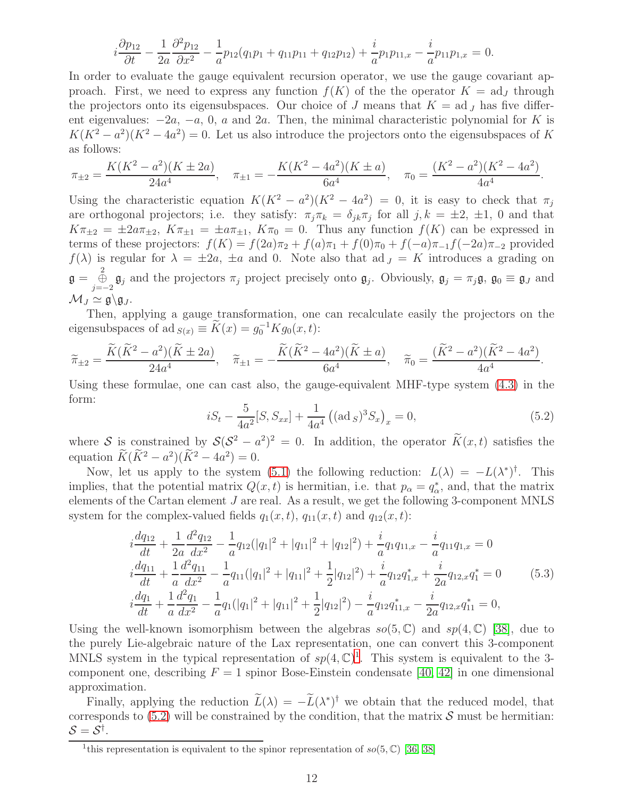$$
i\frac{\partial p_{12}}{\partial t} - \frac{1}{2a} \frac{\partial^2 p_{12}}{\partial x^2} - \frac{1}{a} p_{12} (q_1 p_1 + q_{11} p_{11} + q_{12} p_{12}) + \frac{i}{a} p_1 p_{11,x} - \frac{i}{a} p_{11} p_{1,x} = 0.
$$

In order to evaluate the gauge equivalent recursion operator, we use the gauge covariant approach. First, we need to express any function  $f(K)$  of the the operator  $K = \text{ad}_I$  through the projectors onto its eigensubspaces. Our choice of J means that  $K = ad_J$  has five different eigenvalues:  $-2a$ ,  $-a$ , 0, a and  $2a$ . Then, the minimal characteristic polynomial for K is  $K(K^2 - a^2)(K^2 - 4a^2) = 0$ . Let us also introduce the projectors onto the eigensubspaces of K as follows:

$$
\pi_{\pm 2} = \frac{K(K^2 - a^2)(K \pm 2a)}{24a^4}, \quad \pi_{\pm 1} = -\frac{K(K^2 - 4a^2)(K \pm a)}{6a^4}, \quad \pi_0 = \frac{(K^2 - a^2)(K^2 - 4a^2)}{4a^4}.
$$

Using the characteristic equation  $K(K^2 - a^2)(K^2 - 4a^2) = 0$ , it is easy to check that  $\pi_j$ are orthogonal projectors; i.e. they satisfy:  $\pi_j \pi_k = \delta_{jk} \pi_j$  for all  $j, k = \pm 2, \pm 1, 0$  and that  $K\pi_{\pm2} = \pm 2a\pi_{\pm2}$ ,  $K\pi_{\pm1} = \pm a\pi_{\pm1}$ ,  $K\pi_0 = 0$ . Thus any function  $f(K)$  can be expressed in terms of these projectors:  $f(K) = f(2a)\pi_2 + f(a)\pi_1 + f(0)\pi_0 + f(-a)\pi_{-1}f(-2a)\pi_{-2}$  provided  $f(\lambda)$  is regular for  $\lambda = \pm 2a$ ,  $\pm a$  and 0. Note also that ad  $J = K$  introduces a grading on  $\mathfrak{g} = \bigoplus_{j=-2}^2 \mathfrak{g}_j$  and the projectors  $\pi_j$  project precisely onto  $\mathfrak{g}_j$ . Obviously,  $\mathfrak{g}_j = \pi_j \mathfrak{g}$ ,  $\mathfrak{g}_0 \equiv \mathfrak{g}_J$  and  $\mathcal{M}_J \simeq \mathfrak{g} \backslash \mathfrak{g}_J$ .

Then, applying a gauge transformation, one can recalculate easily the projectors on the eigensubspaces of ad  $s(x) \equiv \widetilde{K}(x) = g_0^{-1} K g_0(x, t)$ :

$$
\widetilde{\pi}_{\pm 2} = \frac{\widetilde{K}(\widetilde{K}^2 - a^2)(\widetilde{K} \pm 2a)}{24a^4}, \quad \widetilde{\pi}_{\pm 1} = -\frac{\widetilde{K}(\widetilde{K}^2 - 4a^2)(\widetilde{K} \pm a)}{6a^4}, \quad \widetilde{\pi}_0 = \frac{(\widetilde{K}^2 - a^2)(\widetilde{K}^2 - 4a^2)}{4a^4}.
$$

Using these formulae, one can cast also, the gauge-equivalent MHF-type system [\(4.3\)](#page-8-1) in the form:

<span id="page-12-2"></span>
$$
iS_t - \frac{5}{4a^2}[S, S_{xx}] + \frac{1}{4a^4} ((\text{ad }S)^3 S_x)_x = 0,
$$
\n(5.2)

where S is constrained by  $S(S^2 - a^2)^2 = 0$ . In addition, the operator  $K(x, t)$  satisfies the equation  $K(K^2 - a^2)(K^2 - 4a^2) = 0.$ 

Now, let us apply to the system [\(5.1\)](#page-11-0) the following reduction:  $L(\lambda) = -L(\lambda^*)^{\dagger}$ . This implies, that the potential matrix  $Q(x,t)$  is hermitian, i.e. that  $p_{\alpha} = q_{\alpha}^{*}$ , and, that the matrix elements of the Cartan element J are real. As a result, we get the following 3-component MNLS system for the complex-valued fields  $q_1(x, t)$ ,  $q_{11}(x, t)$  and  $q_{12}(x, t)$ :

<span id="page-12-0"></span>
$$
i\frac{dq_{12}}{dt} + \frac{1}{2a}\frac{d^2q_{12}}{dx^2} - \frac{1}{a}q_{12}(|q_1|^2 + |q_{11}|^2 + |q_{12}|^2) + \frac{i}{a}q_{1}q_{11,x} - \frac{i}{a}q_{11}q_{1,x} = 0
$$
  
\n
$$
i\frac{dq_{11}}{dt} + \frac{1}{a}\frac{d^2q_{11}}{dx^2} - \frac{1}{a}q_{11}(|q_1|^2 + |q_{11}|^2 + \frac{1}{2}|q_{12}|^2) + \frac{i}{a}q_{12}q_{1,x}^* + \frac{i}{2a}q_{12,x}q_1^* = 0
$$
  
\n
$$
i\frac{dq_1}{dt} + \frac{1}{a}\frac{d^2q_1}{dx^2} - \frac{1}{a}q_1(|q_1|^2 + |q_{11}|^2 + \frac{1}{2}|q_{12}|^2) - \frac{i}{a}q_{12}q_{11,x}^* - \frac{i}{2a}q_{12,x}q_{11}^* = 0,
$$
  
\n(5.3)

Using the well-known isomorphism between the algebras  $so(5, \mathbb{C})$  and  $sp(4, \mathbb{C})$  [\[38\]](#page-16-9), due to the purely Lie-algebraic nature of the Lax representation, one can convert this 3-component MNLS system in the typical representation of  $sp(4,\mathbb{C})^1$  $sp(4,\mathbb{C})^1$ . This system is equivalent to the 3component one, describing  $F = 1$  spinor Bose-Einstein condensate [\[40,](#page-16-13) [42\]](#page-16-14) in one dimensional approximation.

Finally, applying the reduction  $\tilde{L}(\lambda) = -\tilde{L}(\lambda^*)^{\dagger}$  we obtain that the reduced model, that corresponds to  $(5.2)$  will be constrained by the condition, that the matrix S must be hermitian:  $\mathcal{S}=\mathcal{S}^{\dagger}.$ 

<span id="page-12-1"></span><sup>&</sup>lt;sup>1</sup>this representation is equivalent to the spinor representation of  $so(5, \mathbb{C})$  [\[36,](#page-16-10) [38\]](#page-16-9)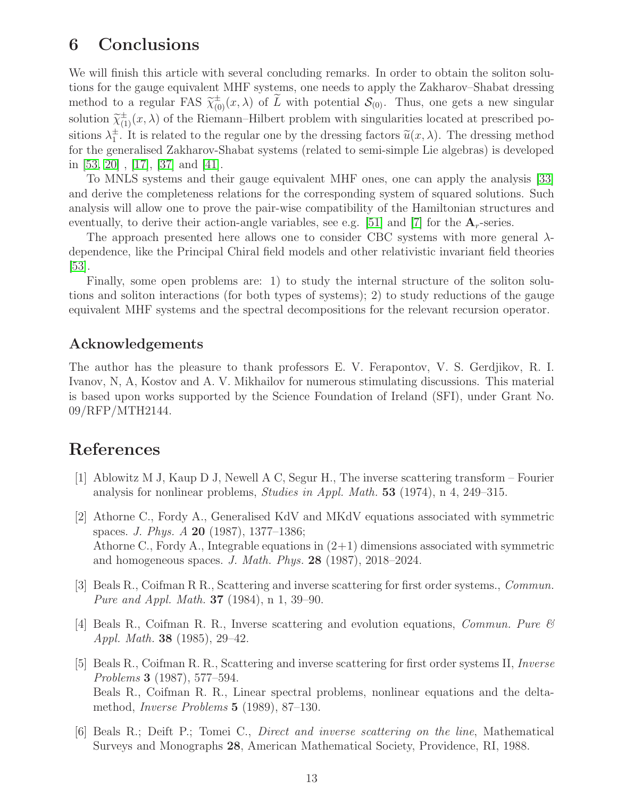### 6 Conclusions

We will finish this article with several concluding remarks. In order to obtain the soliton solutions for the gauge equivalent MHF systems, one needs to apply the Zakharov–Shabat dressing method to a regular FAS  $\tilde{\chi}_{(0)}^{\pm}(x,\lambda)$  of  $\tilde{L}$  with potential  $\mathcal{S}_{(0)}$ . Thus, one gets a new singular solution  $\widetilde{\chi}^{\pm}_{(1)}(x,\lambda)$  of the Riemann–Hilbert problem with singularities located at prescribed positions  $\lambda_1^{\pm}$  $\frac{1}{\alpha}$ . It is related to the regular one by the dressing factors  $\tilde{u}(x, \lambda)$ . The dressing method for the generalised Zakharov-Shabat systems (related to semi-simple Lie algebras) is developed in [\[53,](#page-17-1) [20\]](#page-14-6) , [\[17\]](#page-14-14), [\[37\]](#page-16-15) and [\[41\]](#page-16-16).

To MNLS systems and their gauge equivalent MHF ones, one can apply the analysis [\[33\]](#page-15-8) and derive the completeness relations for the corresponding system of squared solutions. Such analysis will allow one to prove the pair-wise compatibility of the Hamiltonian structures and eventually, to derive their action-angle variables, see e.g. [\[51\]](#page-16-17) and [\[7\]](#page-14-3) for the  $A_r$ -series.

The approach presented here allows one to consider CBC systems with more general  $\lambda$ dependence, like the Principal Chiral field models and other relativistic invariant field theories  $|53|$ .

Finally, some open problems are: 1) to study the internal structure of the soliton solutions and soliton interactions (for both types of systems); 2) to study reductions of the gauge equivalent MHF systems and the spectral decompositions for the relevant recursion operator.

#### Acknowledgements

The author has the pleasure to thank professors E. V. Ferapontov, V. S. Gerdjikov, R. I. Ivanov, N, A, Kostov and A. V. Mikhailov for numerous stimulating discussions. This material is based upon works supported by the Science Foundation of Ireland (SFI), under Grant No. 09/RFP/MTH2144.

### <span id="page-13-0"></span>References

- [1] Ablowitz M J, Kaup D J, Newell A C, Segur H., The inverse scattering transform Fourier analysis for nonlinear problems, Studies in Appl. Math. 53 (1974), n 4, 249–315.
- <span id="page-13-4"></span>[2] Athorne C., Fordy A., Generalised KdV and MKdV equations associated with symmetric spaces. J. Phys. A 20 (1987), 1377–1386; Athorne C., Fordy A., Integrable equations in  $(2+1)$  dimensions associated with symmetric and homogeneous spaces. J. Math. Phys. 28 (1987), 2018–2024.
- <span id="page-13-1"></span>[3] Beals R., Coifman R R., Scattering and inverse scattering for first order systems., Commun. Pure and Appl. Math. 37 (1984), n 1, 39–90.
- <span id="page-13-2"></span>[4] Beals R., Coifman R. R., Inverse scattering and evolution equations, *Commun. Pure*  $\mathscr B$ Appl. Math. 38 (1985), 29–42.
- <span id="page-13-3"></span>[5] Beals R., Coifman R. R., Scattering and inverse scattering for first order systems II, Inverse Problems 3 (1987), 577–594. Beals R., Coifman R. R., Linear spectral problems, nonlinear equations and the deltamethod, Inverse Problems 5 (1989), 87–130.
- <span id="page-13-5"></span>[6] Beals R.; Deift P.; Tomei C., Direct and inverse scattering on the line, Mathematical Surveys and Monographs 28, American Mathematical Society, Providence, RI, 1988.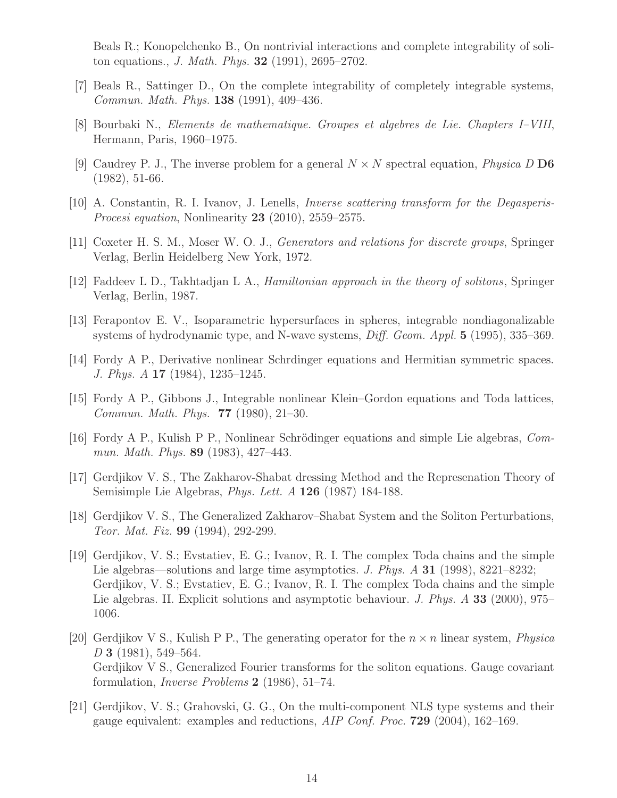Beals R.; Konopelchenko B., On nontrivial interactions and complete integrability of soliton equations., J. Math. Phys. 32 (1991), 2695–2702.

- <span id="page-14-12"></span><span id="page-14-3"></span>[7] Beals R., Sattinger D., On the complete integrability of completely integrable systems, Commun. Math. Phys. 138 (1991), 409–436.
- <span id="page-14-4"></span>[8] Bourbaki N., Elements de mathematique. Groupes et algebres de Lie. Chapters I–VIII, Hermann, Paris, 1960–1975.
- <span id="page-14-2"></span>[9] Caudrey P. J., The inverse problem for a general  $N \times N$  spectral equation, *Physica* D D6 (1982), 51-66.
- <span id="page-14-13"></span>[10] A. Constantin, R. I. Ivanov, J. Lenells, Inverse scattering transform for the Degasperis-*Procesi equation, Nonlinearity* **23** (2010), 2559–2575.
- <span id="page-14-11"></span>[11] Coxeter H. S. M., Moser W. O. J., Generators and relations for discrete groups, Springer Verlag, Berlin Heidelberg New York, 1972.
- <span id="page-14-0"></span>[12] Faddeev L D., Takhtadjan L A., Hamiltonian approach in the theory of solitons, Springer Verlag, Berlin, 1987.
- [13] Ferapontov E. V., Isoparametric hypersurfaces in spheres, integrable nondiagonalizable systems of hydrodynamic type, and N-wave systems, *Diff. Geom. Appl.* 5 (1995), 335–369.
- <span id="page-14-9"></span>[14] Fordy A P., Derivative nonlinear Schrdinger equations and Hermitian symmetric spaces. J. Phys. A 17 (1984), 1235–1245.
- <span id="page-14-5"></span>[15] Fordy A P., Gibbons J., Integrable nonlinear Klein–Gordon equations and Toda lattices, Commun. Math. Phys. 77 (1980), 21–30.
- <span id="page-14-7"></span>[16] Fordy A P., Kulish P P., Nonlinear Schrödinger equations and simple Lie algebras, Commun. Math. Phys. 89 (1983), 427–443.
- <span id="page-14-14"></span>[17] Gerdjikov V. S., The Zakharov-Shabat dressing Method and the Represenation Theory of Semisimple Lie Algebras, Phys. Lett. A 126 (1987) 184-188.
- <span id="page-14-10"></span>[18] Gerdjikov V. S., The Generalized Zakharov–Shabat System and the Soliton Perturbations, Teor. Mat. Fiz. 99 (1994), 292-299.
- <span id="page-14-8"></span>[19] Gerdjikov, V. S.; Evstatiev, E. G.; Ivanov, R. I. The complex Toda chains and the simple Lie algebras—solutions and large time asymptotics. J. Phys. A 31 (1998), 8221–8232; Gerdjikov, V. S.; Evstatiev, E. G.; Ivanov, R. I. The complex Toda chains and the simple Lie algebras. II. Explicit solutions and asymptotic behaviour. J. Phys. A 33 (2000), 975– 1006.
- <span id="page-14-6"></span>[20] Gerdjikov V S., Kulish P P., The generating operator for the  $n \times n$  linear system, *Physica* D 3 (1981), 549–564. Gerdjikov V S., Generalized Fourier transforms for the soliton equations. Gauge covariant formulation, Inverse Problems 2 (1986), 51–74.
- <span id="page-14-1"></span>[21] Gerdjikov, V. S.; Grahovski, G. G., On the multi-component NLS type systems and their gauge equivalent: examples and reductions, AIP Conf. Proc. 729 (2004), 162–169.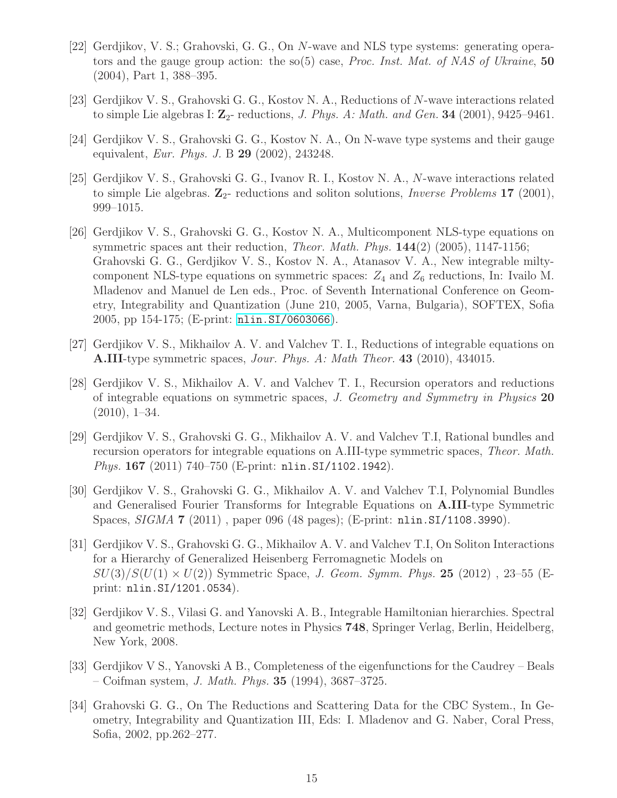- <span id="page-15-0"></span>[22] Gerdjikov, V. S.; Grahovski, G. G., On N-wave and NLS type systems: generating operators and the gauge group action: the so(5) case, *Proc. Inst. Mat. of NAS of Ukraine*, 50 (2004), Part 1, 388–395.
- <span id="page-15-2"></span><span id="page-15-1"></span>[23] Gerdjikov V. S., Grahovski G. G., Kostov N. A., Reductions of N-wave interactions related to simple Lie algebras I:  $\mathbb{Z}_{2}$ - reductions, *J. Phys. A: Math. and Gen.* **34** (2001), 9425–9461.
- [24] Gerdjikov V. S., Grahovski G. G., Kostov N. A., On N-wave type systems and their gauge equivalent, Eur. Phys. J. B 29 (2002), 243248.
- [25] Gerdjikov V. S., Grahovski G. G., Ivanov R. I., Kostov N. A., N-wave interactions related to simple Lie algebras.  $\mathbb{Z}_2$ - reductions and soliton solutions, *Inverse Problems* 17 (2001), 999–1015.
- <span id="page-15-9"></span>[26] Gerdjikov V. S., Grahovski G. G., Kostov N. A., Multicomponent NLS-type equations on symmetric spaces ant their reduction, *Theor. Math. Phys.*  $144(2)$  (2005), 1147-1156; Grahovski G. G., Gerdjikov V. S., Kostov N. A., Atanasov V. A., New integrable miltycomponent NLS-type equations on symmetric spaces:  $Z_4$  and  $Z_6$  reductions, In: Ivailo M. Mladenov and Manuel de Len eds., Proc. of Seventh International Conference on Geometry, Integrability and Quantization (June 210, 2005, Varna, Bulgaria), SOFTEX, Sofia 2005, pp 154-175; (E-print: [nlin.SI/0603066](http://arxiv.org/abs/nlin/0603066)).
- <span id="page-15-4"></span><span id="page-15-3"></span>[27] Gerdjikov V. S., Mikhailov A. V. and Valchev T. I., Reductions of integrable equations on A.III-type symmetric spaces, Jour. Phys. A: Math Theor. 43 (2010), 434015.
- [28] Gerdjikov V. S., Mikhailov A. V. and Valchev T. I., Recursion operators and reductions of integrable equations on symmetric spaces, J. Geometry and Symmetry in Physics 20  $(2010), 1-34.$
- <span id="page-15-5"></span>[29] Gerdjikov V. S., Grahovski G. G., Mikhailov A. V. and Valchev T.I, Rational bundles and recursion operators for integrable equations on A.III-type symmetric spaces, Theor. Math. Phys. 167 (2011) 740–750 (E-print: nlin.SI/1102.1942).
- <span id="page-15-6"></span>[30] Gerdjikov V. S., Grahovski G. G., Mikhailov A. V. and Valchev T.I, Polynomial Bundles and Generalised Fourier Transforms for Integrable Equations on A.III-type Symmetric Spaces, SIGMA 7 (2011) , paper 096 (48 pages); (E-print: nlin.SI/1108.3990).
- <span id="page-15-7"></span>[31] Gerdjikov V. S., Grahovski G. G., Mikhailov A. V. and Valchev T.I, On Soliton Interactions for a Hierarchy of Generalized Heisenberg Ferromagnetic Models on  $SU(3)/S(U(1) \times U(2))$  Symmetric Space, J. Geom. Symm. Phys. 25 (2012), 23–55 (Eprint: nlin.SI/1201.0534).
- <span id="page-15-10"></span>[32] Gerdjikov V. S., Vilasi G. and Yanovski A. B., Integrable Hamiltonian hierarchies. Spectral and geometric methods, Lecture notes in Physics 748, Springer Verlag, Berlin, Heidelberg, New York, 2008.
- <span id="page-15-8"></span>[33] Gerdjikov V S., Yanovski A B., Completeness of the eigenfunctions for the Caudrey – Beals – Coifman system, *J. Math. Phys.* **35** (1994), 3687–3725.
- [34] Grahovski G. G., On The Reductions and Scattering Data for the CBC System., In Geometry, Integrability and Quantization III, Eds: I. Mladenov and G. Naber, Coral Press, Sofia, 2002, pp.262–277.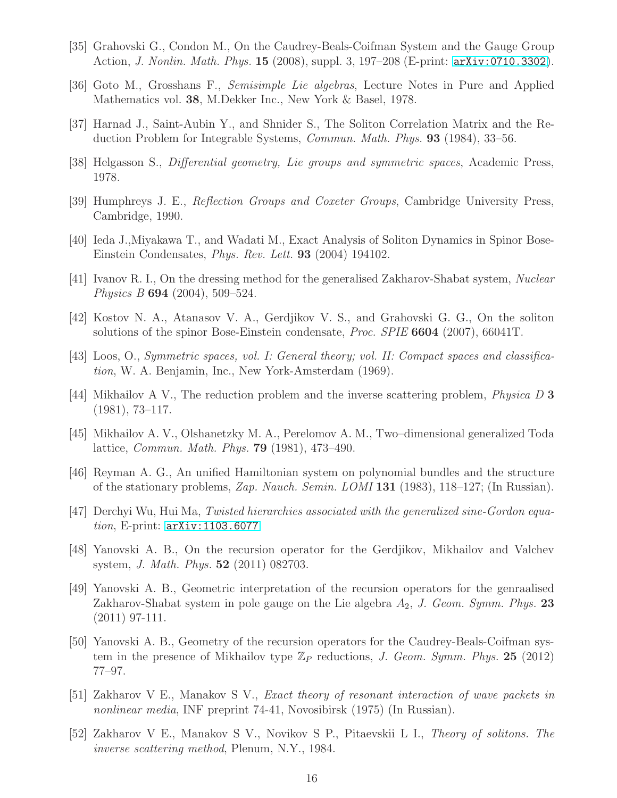- <span id="page-16-10"></span><span id="page-16-8"></span>[35] Grahovski G., Condon M., On the Caudrey-Beals-Coifman System and the Gauge Group Action, J. Nonlin. Math. Phys. 15 (2008), suppl. 3, 197–208 (E-print: [arXiv:0710.3302](http://arxiv.org/abs/0710.3302)).
- <span id="page-16-15"></span>[36] Goto M., Grosshans F., Semisimple Lie algebras, Lecture Notes in Pure and Applied Mathematics vol. 38, M.Dekker Inc., New York & Basel, 1978.
- <span id="page-16-9"></span>[37] Harnad J., Saint-Aubin Y., and Shnider S., The Soliton Correlation Matrix and the Reduction Problem for Integrable Systems, Commun. Math. Phys. 93 (1984), 33–56.
- <span id="page-16-11"></span>[38] Helgasson S., Differential geometry, Lie groups and symmetric spaces, Academic Press, 1978.
- <span id="page-16-13"></span>[39] Humphreys J. E., Reflection Groups and Coxeter Groups, Cambridge University Press, Cambridge, 1990.
- <span id="page-16-16"></span>[40] Ieda J.,Miyakawa T., and Wadati M., Exact Analysis of Soliton Dynamics in Spinor Bose-Einstein Condensates, Phys. Rev. Lett. 93 (2004) 194102.
- <span id="page-16-14"></span>[41] Ivanov R. I., On the dressing method for the generalised Zakharov-Shabat system, Nuclear Physics B 694 (2004), 509–524.
- [42] Kostov N. A., Atanasov V. A., Gerdjikov V. S., and Grahovski G. G., On the soliton solutions of the spinor Bose-Einstein condensate, Proc. SPIE 6604 (2007), 66041T.
- <span id="page-16-7"></span><span id="page-16-6"></span>[43] Loos, O., Symmetric spaces, vol. I: General theory; vol. II: Compact spaces and classification, W. A. Benjamin, Inc., New York-Amsterdam (1969).
- <span id="page-16-5"></span>[44] Mikhailov A V., The reduction problem and the inverse scattering problem, *Physica* D 3 (1981), 73–117.
- <span id="page-16-12"></span>[45] Mikhailov A. V., Olshanetzky M. A., Perelomov A. M., Two–dimensional generalized Toda lattice, Commun. Math. Phys. 79 (1981), 473–490.
- <span id="page-16-4"></span>[46] Reyman A. G., An unified Hamiltonian system on polynomial bundles and the structure of the stationary problems, Zap. Nauch. Semin. LOMI 131 (1983), 118–127; (In Russian).
- <span id="page-16-1"></span>[47] Derchyi Wu, Hui Ma, Twisted hierarchies associated with the generalized sine-Gordon equation, E-print: [arXiv:1103.6077](http://arxiv.org/abs/1103.6077)
- <span id="page-16-2"></span>[48] Yanovski A. B., On the recursion operator for the Gerdjikov, Mikhailov and Valchev system, J. Math. Phys. 52 (2011) 082703.
- [49] Yanovski A. B., Geometric interpretation of the recursion operators for the genraalised Zakharov-Shabat system in pole gauge on the Lie algebra  $A_2$ , J. Geom. Symm. Phys. 23 (2011) 97-111.
- <span id="page-16-3"></span>[50] Yanovski A. B., Geometry of the recursion operators for the Caudrey-Beals-Coifman system in the presence of Mikhailov type  $\mathbb{Z}_P$  reductions, J. Geom. Symm. Phys. 25 (2012) 77–97.
- <span id="page-16-17"></span>[51] Zakharov V E., Manakov S V., Exact theory of resonant interaction of wave packets in nonlinear media, INF preprint 74-41, Novosibirsk (1975) (In Russian).
- <span id="page-16-0"></span>[52] Zakharov V E., Manakov S V., Novikov S P., Pitaevskii L I., Theory of solitons. The inverse scattering method, Plenum, N.Y., 1984.